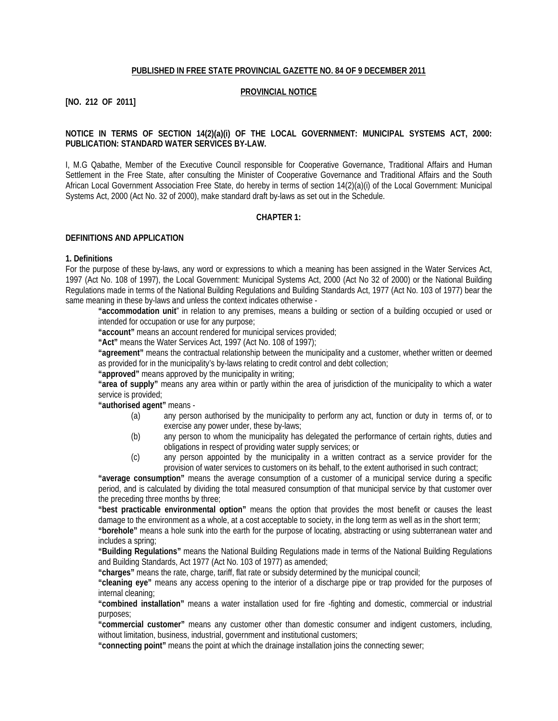#### **PUBLISHED IN FREE STATE PROVINCIAL GAZETTE NO. 84 OF 9 DECEMBER 2011**

#### **PROVINCIAL NOTICE**

#### **[NO. 212 OF 2011]**

#### **NOTICE IN TERMS OF SECTION 14(2)(a)(i) OF THE LOCAL GOVERNMENT: MUNICIPAL SYSTEMS ACT, 2000: PUBLICATION: STANDARD WATER SERVICES BY-LAW.**

I, M.G Qabathe, Member of the Executive Council responsible for Cooperative Governance, Traditional Affairs and Human Settlement in the Free State, after consulting the Minister of Cooperative Governance and Traditional Affairs and the South African Local Government Association Free State, do hereby in terms of section 14(2)(a)(i) of the Local Government: Municipal Systems Act, 2000 (Act No. 32 of 2000), make standard draft by-laws as set out in the Schedule.

#### **CHAPTER 1:**

#### **DEFINITIONS AND APPLICATION**

#### **1. Definitions**

For the purpose of these by-laws, any word or expressions to which a meaning has been assigned in the Water Services Act, 1997 (Act No. 108 of 1997), the Local Government: Municipal Systems Act, 2000 (Act No 32 of 2000) or the National Building Regulations made in terms of the National Building Regulations and Building Standards Act, 1977 (Act No. 103 of 1977) bear the same meaning in these by-laws and unless the context indicates otherwise -

**"accommodation unit**" in relation to any premises, means a building or section of a building occupied or used or intended for occupation or use for any purpose;

**"account"** means an account rendered for municipal services provided;

**"Act"** means the Water Services Act, 1997 (Act No. 108 of 1997);

**"agreement"** means the contractual relationship between the municipality and a customer, whether written or deemed as provided for in the municipality's by-laws relating to credit control and debt collection;

**"approved"** means approved by the municipality in writing;

**"area of supply"** means any area within or partly within the area of jurisdiction of the municipality to which a water service is provided;

**"authorised agent"** means -

- (a) any person authorised by the municipality to perform any act, function or duty in terms of, or to exercise any power under, these by-laws;
- (b) any person to whom the municipality has delegated the performance of certain rights, duties and obligations in respect of providing water supply services; or
- (c) any person appointed by the municipality in a written contract as a service provider for the provision of water services to customers on its behalf, to the extent authorised in such contract;

**"average consumption"** means the average consumption of a customer of a municipal service during a specific period, and is calculated by dividing the total measured consumption of that municipal service by that customer over the preceding three months by three;

**"best practicable environmental option"** means the option that provides the most benefit or causes the least damage to the environment as a whole, at a cost acceptable to society, in the long term as well as in the short term;

**"borehole"** means a hole sunk into the earth for the purpose of locating, abstracting or using subterranean water and includes a spring;

**"Building Regulations"** means the National Building Regulations made in terms of the National Building Regulations and Building Standards, Act 1977 (Act No. 103 of 1977) as amended;

**"charges"** means the rate, charge, tariff, flat rate or subsidy determined by the municipal council;

**"cleaning eye"** means any access opening to the interior of a discharge pipe or trap provided for the purposes of internal cleaning;

**"combined installation"** means a water installation used for fire -fighting and domestic, commercial or industrial purposes;

**"commercial customer"** means any customer other than domestic consumer and indigent customers, including, without limitation, business, industrial, government and institutional customers;

**"connecting point"** means the point at which the drainage installation joins the connecting sewer;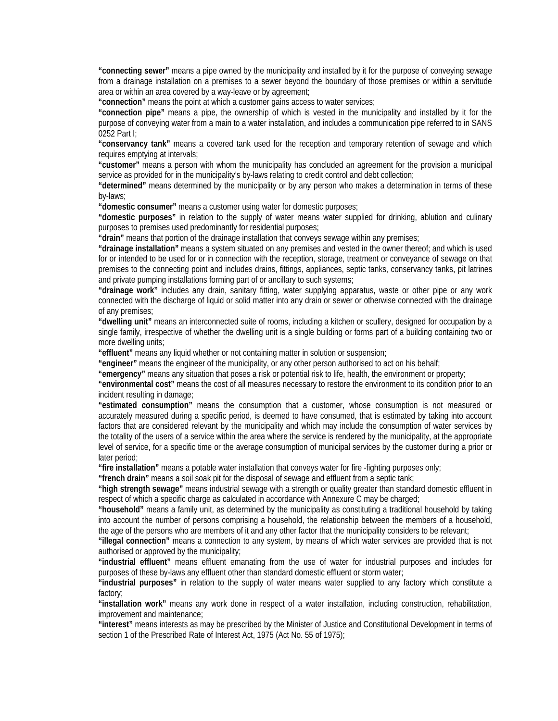**"connecting sewer"** means a pipe owned by the municipality and installed by it for the purpose of conveying sewage from a drainage installation on a premises to a sewer beyond the boundary of those premises or within a servitude area or within an area covered by a way-leave or by agreement;

**"connection"** means the point at which a customer gains access to water services;

**"connection pipe"** means a pipe, the ownership of which is vested in the municipality and installed by it for the purpose of conveying water from a main to a water installation, and includes a communication pipe referred to in SANS 0252 Part I;

**"conservancy tank"** means a covered tank used for the reception and temporary retention of sewage and which requires emptying at intervals;

**"customer"** means a person with whom the municipality has concluded an agreement for the provision a municipal service as provided for in the municipality's by-laws relating to credit control and debt collection;

**"determined"** means determined by the municipality or by any person who makes a determination in terms of these by-laws;

**"domestic consumer"** means a customer using water for domestic purposes;

**"domestic purposes"** in relation to the supply of water means water supplied for drinking, ablution and culinary purposes to premises used predominantly for residential purposes;

**"drain"** means that portion of the drainage installation that conveys sewage within any premises;

**"drainage installation"** means a system situated on any premises and vested in the owner thereof; and which is used for or intended to be used for or in connection with the reception, storage, treatment or conveyance of sewage on that premises to the connecting point and includes drains, fittings, appliances, septic tanks, conservancy tanks, pit latrines and private pumping installations forming part of or ancillary to such systems;

**"drainage work"** includes any drain, sanitary fitting, water supplying apparatus, waste or other pipe or any work connected with the discharge of liquid or solid matter into any drain or sewer or otherwise connected with the drainage of any premises;

**"dwelling unit"** means an interconnected suite of rooms, including a kitchen or scullery, designed for occupation by a single family, irrespective of whether the dwelling unit is a single building or forms part of a building containing two or more dwelling units;

**"effluent"** means any liquid whether or not containing matter in solution or suspension;

**"engineer"** means the engineer of the municipality, or any other person authorised to act on his behalf;

**"emergency"** means any situation that poses a risk or potential risk to life, health, the environment or property;

**"environmental cost"** means the cost of all measures necessary to restore the environment to its condition prior to an incident resulting in damage;

**"estimated consumption"** means the consumption that a customer, whose consumption is not measured or accurately measured during a specific period, is deemed to have consumed, that is estimated by taking into account factors that are considered relevant by the municipality and which may include the consumption of water services by the totality of the users of a service within the area where the service is rendered by the municipality, at the appropriate level of service, for a specific time or the average consumption of municipal services by the customer during a prior or later period;

**"fire installation"** means a potable water installation that conveys water for fire -fighting purposes only;

**"french drain"** means a soil soak pit for the disposal of sewage and effluent from a septic tank;

**"high strength sewage"** means industrial sewage with a strength or quality greater than standard domestic effluent in respect of which a specific charge as calculated in accordance with Annexure C may be charged;

**"household"** means a family unit, as determined by the municipality as constituting a traditional household by taking into account the number of persons comprising a household, the relationship between the members of a household, the age of the persons who are members of it and any other factor that the municipality considers to be relevant;

**"illegal connection"** means a connection to any system, by means of which water services are provided that is not authorised or approved by the municipality;

**"industrial effluent"** means effluent emanating from the use of water for industrial purposes and includes for purposes of these by-laws any effluent other than standard domestic effluent or storm water;

**"industrial purposes"** in relation to the supply of water means water supplied to any factory which constitute a factory;

**"installation work"** means any work done in respect of a water installation, including construction, rehabilitation, improvement and maintenance;

**"interest"** means interests as may be prescribed by the Minister of Justice and Constitutional Development in terms of section 1 of the Prescribed Rate of Interest Act, 1975 (Act No. 55 of 1975);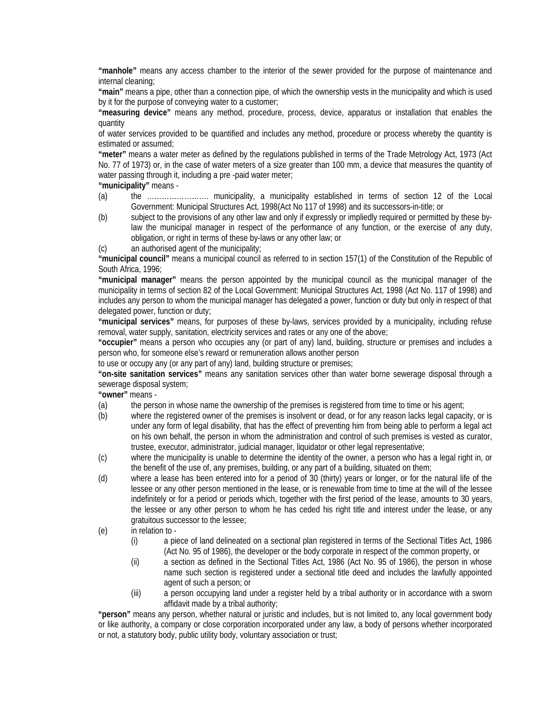**"manhole"** means any access chamber to the interior of the sewer provided for the purpose of maintenance and internal cleaning;

**"main"** means a pipe, other than a connection pipe, of which the ownership vests in the municipality and which is used by it for the purpose of conveying water to a customer;

**"measuring device"** means any method, procedure, process, device, apparatus or installation that enables the quantity

of water services provided to be quantified and includes any method, procedure or process whereby the quantity is estimated or assumed;

**"meter"** means a water meter as defined by the regulations published in terms of the Trade Metrology Act, 1973 (Act No. 77 of 1973) or, in the case of water meters of a size greater than 100 mm, a device that measures the quantity of water passing through it, including a pre -paid water meter;

#### **"municipality"** means -

- (a) the ……………………. municipality, a municipality established in terms of section 12 of the Local Government: Municipal Structures Act, 1998(Act No 117 of 1998) and its successors-in-title; or
- (b) subject to the provisions of any other law and only if expressly or impliedly required or permitted by these bylaw the municipal manager in respect of the performance of any function, or the exercise of any duty, obligation, or right in terms of these by-laws or any other law; or
- (c) an authorised agent of the municipality;

**"municipal council"** means a municipal council as referred to in section 157(1) of the Constitution of the Republic of South Africa, 1996;

**"municipal manager"** means the person appointed by the municipal council as the municipal manager of the municipality in terms of section 82 of the Local Government: Municipal Structures Act, 1998 (Act No. 117 of 1998) and includes any person to whom the municipal manager has delegated a power, function or duty but only in respect of that delegated power, function or duty;

**"municipal services"** means, for purposes of these by-laws, services provided by a municipality, including refuse removal, water supply, sanitation, electricity services and rates or any one of the above;

**"occupier"** means a person who occupies any (or part of any) land, building, structure or premises and includes a person who, for someone else's reward or remuneration allows another person

to use or occupy any (or any part of any) land, building structure or premises;

**"on-site sanitation services"** means any sanitation services other than water borne sewerage disposal through a sewerage disposal system;

**"owner"** means -

- (a) the person in whose name the ownership of the premises is registered from time to time or his agent;
- (b) where the registered owner of the premises is insolvent or dead, or for any reason lacks legal capacity, or is under any form of legal disability, that has the effect of preventing him from being able to perform a legal act on his own behalf, the person in whom the administration and control of such premises is vested as curator, trustee, executor, administrator, judicial manager, liquidator or other legal representative;
- (c) where the municipality is unable to determine the identity of the owner, a person who has a legal right in, or the benefit of the use of, any premises, building, or any part of a building, situated on them;
- (d) where a lease has been entered into for a period of 30 (thirty) years or longer, or for the natural life of the lessee or any other person mentioned in the lease, or is renewable from time to time at the will of the lessee indefinitely or for a period or periods which, together with the first period of the lease, amounts to 30 years, the lessee or any other person to whom he has ceded his right title and interest under the lease, or any gratuitous successor to the lessee;
- (e) in relation to
	- (i) a piece of land delineated on a sectional plan registered in terms of the Sectional Titles Act, 1986 (Act No. 95 of 1986), the developer or the body corporate in respect of the common property, or
	- (ii) a section as defined in the Sectional Titles Act, 1986 (Act No. 95 of 1986), the person in whose name such section is registered under a sectional title deed and includes the lawfully appointed agent of such a person; or
	- (iii) a person occupying land under a register held by a tribal authority or in accordance with a sworn affidavit made by a tribal authority;

**"person"** means any person, whether natural or juristic and includes, but is not limited to, any local government body or like authority, a company or close corporation incorporated under any law, a body of persons whether incorporated or not, a statutory body, public utility body, voluntary association or trust;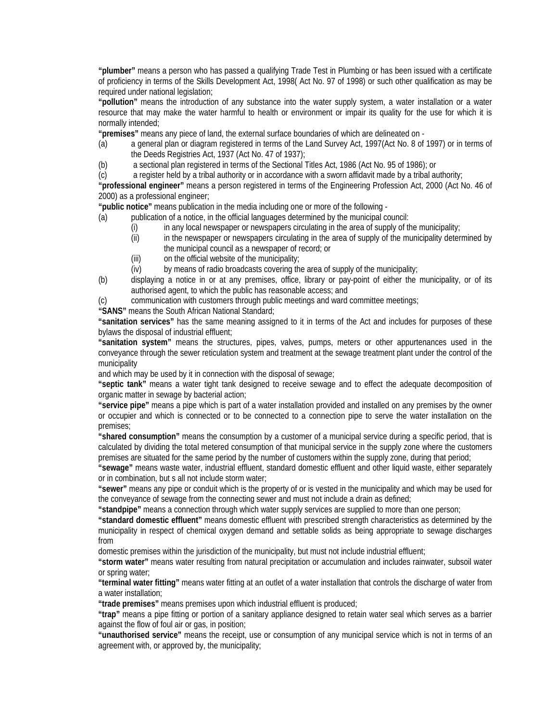**"plumber"** means a person who has passed a qualifying Trade Test in Plumbing or has been issued with a certificate of proficiency in terms of the Skills Development Act, 1998( Act No. 97 of 1998) or such other qualification as may be required under national legislation;

**"pollution"** means the introduction of any substance into the water supply system, a water installation or a water resource that may make the water harmful to health or environment or impair its quality for the use for which it is normally intended;

**"premises"** means any piece of land, the external surface boundaries of which are delineated on -

- (a) a general plan or diagram registered in terms of the Land Survey Act, 1997(Act No. 8 of 1997) or in terms of the Deeds Registries Act, 1937 (Act No. 47 of 1937);
- (b) a sectional plan registered in terms of the Sectional Titles Act, 1986 (Act No. 95 of 1986); or
- (c) a register held by a tribal authority or in accordance with a sworn affidavit made by a tribal authority;

**"professional engineer"** means a person registered in terms of the Engineering Profession Act, 2000 (Act No. 46 of 2000) as a professional engineer;

**"public notice"** means publication in the media including one or more of the following -

- (a) publication of a notice, in the official languages determined by the municipal council:
	- (i) in any local newspaper or newspapers circulating in the area of supply of the municipality;
	- (ii) in the newspaper or newspapers circulating in the area of supply of the municipality determined by the municipal council as a newspaper of record; or
	- (iii) on the official website of the municipality;
	- (iv) by means of radio broadcasts covering the area of supply of the municipality;
- (b) displaying a notice in or at any premises, office, library or pay-point of either the municipality, or of its authorised agent, to which the public has reasonable access; and
- (c) communication with customers through public meetings and ward committee meetings;

**"SANS"** means the South African National Standard;

**"sanitation services"** has the same meaning assigned to it in terms of the Act and includes for purposes of these bylaws the disposal of industrial effluent;

**"sanitation system"** means the structures, pipes, valves, pumps, meters or other appurtenances used in the conveyance through the sewer reticulation system and treatment at the sewage treatment plant under the control of the municipality

and which may be used by it in connection with the disposal of sewage;

**"septic tank"** means a water tight tank designed to receive sewage and to effect the adequate decomposition of organic matter in sewage by bacterial action;

**"service pipe"** means a pipe which is part of a water installation provided and installed on any premises by the owner or occupier and which is connected or to be connected to a connection pipe to serve the water installation on the premises;

**"shared consumption"** means the consumption by a customer of a municipal service during a specific period, that is calculated by dividing the total metered consumption of that municipal service in the supply zone where the customers premises are situated for the same period by the number of customers within the supply zone, during that period;

**"sewage"** means waste water, industrial effluent, standard domestic effluent and other liquid waste, either separately or in combination, but s all not include storm water;

**"sewer"** means any pipe or conduit which is the property of or is vested in the municipality and which may be used for the conveyance of sewage from the connecting sewer and must not include a drain as defined;

**"standpipe"** means a connection through which water supply services are supplied to more than one person;

**"standard domestic effluent"** means domestic effluent with prescribed strength characteristics as determined by the municipality in respect of chemical oxygen demand and settable solids as being appropriate to sewage discharges from

domestic premises within the jurisdiction of the municipality, but must not include industrial effluent;

**"storm water"** means water resulting from natural precipitation or accumulation and includes rainwater, subsoil water or spring water;

**"terminal water fitting"** means water fitting at an outlet of a water installation that controls the discharge of water from a water installation;

**"trade premises"** means premises upon which industrial effluent is produced;

**"trap"** means a pipe fitting or portion of a sanitary appliance designed to retain water seal which serves as a barrier against the flow of foul air or gas, in position;

**"unauthorised service"** means the receipt, use or consumption of any municipal service which is not in terms of an agreement with, or approved by, the municipality;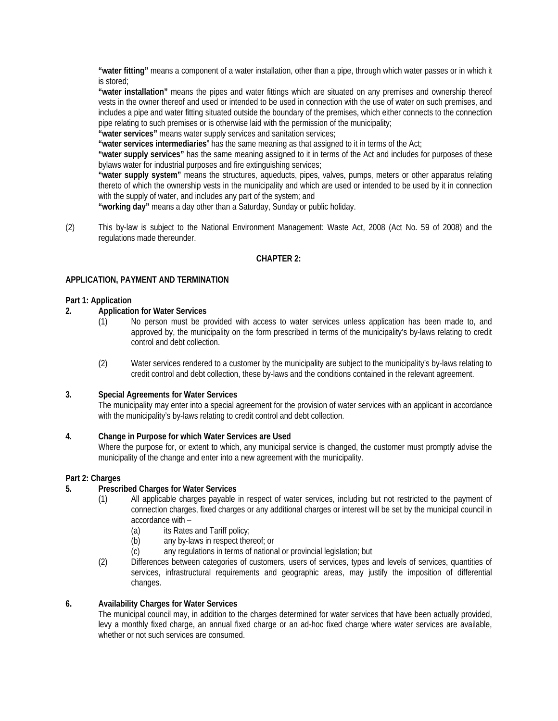**"water fitting"** means a component of a water installation, other than a pipe, through which water passes or in which it is stored;

**"water installation"** means the pipes and water fittings which are situated on any premises and ownership thereof vests in the owner thereof and used or intended to be used in connection with the use of water on such premises, and includes a pipe and water fitting situated outside the boundary of the premises, which either connects to the connection pipe relating to such premises or is otherwise laid with the permission of the municipality;

**"water services"** means water supply services and sanitation services;

**"water services intermediaries**" has the same meaning as that assigned to it in terms of the Act;

**"water supply services"** has the same meaning assigned to it in terms of the Act and includes for purposes of these bylaws water for industrial purposes and fire extinguishing services;

**"water supply system"** means the structures, aqueducts, pipes, valves, pumps, meters or other apparatus relating thereto of which the ownership vests in the municipality and which are used or intended to be used by it in connection with the supply of water, and includes any part of the system; and

**"working day"** means a day other than a Saturday, Sunday or public holiday.

(2) This by-law is subject to the National Environment Management: Waste Act, 2008 (Act No. 59 of 2008) and the regulations made thereunder.

#### **CHAPTER 2:**

#### **APPLICATION, PAYMENT AND TERMINATION**

#### **Part 1: Application**

- **2. Application for Water Services**
	- (1) No person must be provided with access to water services unless application has been made to, and approved by, the municipality on the form prescribed in terms of the municipality's by-laws relating to credit control and debt collection.
	- (2) Water services rendered to a customer by the municipality are subject to the municipality's by-laws relating to credit control and debt collection, these by-laws and the conditions contained in the relevant agreement.

#### **3. Special Agreements for Water Services**

The municipality may enter into a special agreement for the provision of water services with an applicant in accordance with the municipality's by-laws relating to credit control and debt collection.

#### **4. Change in Purpose for which Water Services are Used**

Where the purpose for, or extent to which, any municipal service is changed, the customer must promptly advise the municipality of the change and enter into a new agreement with the municipality.

#### **Part 2: Charges**

#### **5. Prescribed Charges for Water Services**

- (1) All applicable charges payable in respect of water services, including but not restricted to the payment of connection charges, fixed charges or any additional charges or interest will be set by the municipal council in accordance with –
	- (a) its Rates and Tariff policy;
	- (b) any by-laws in respect thereof; or
	- (c) any regulations in terms of national or provincial legislation; but
- (2) Differences between categories of customers, users of services, types and levels of services, quantities of services, infrastructural requirements and geographic areas, may justify the imposition of differential changes.

#### **6. Availability Charges for Water Services**

The municipal council may, in addition to the charges determined for water services that have been actually provided, levy a monthly fixed charge, an annual fixed charge or an ad-hoc fixed charge where water services are available, whether or not such services are consumed.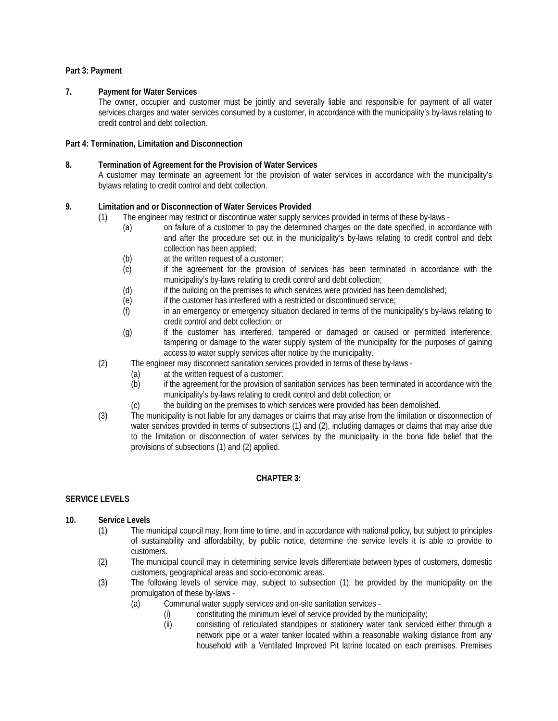### **Part 3: Payment**

### **7. Payment for Water Services**

The owner, occupier and customer must be jointly and severally liable and responsible for payment of all water services charges and water services consumed by a customer, in accordance with the municipality's by-laws relating to credit control and debt collection.

### **Part 4: Termination, Limitation and Disconnection**

### **8. Termination of Agreement for the Provision of Water Services**

A customer may terminate an agreement for the provision of water services in accordance with the municipality's bylaws relating to credit control and debt collection.

### **9. Limitation and or Disconnection of Water Services Provided**

- (1) The engineer may restrict or discontinue water supply services provided in terms of these by-laws
	- (a) on failure of a customer to pay the determined charges on the date specified, in accordance with and after the procedure set out in the municipality's by-laws relating to credit control and debt collection has been applied;
	- (b) at the written request of a customer;
	- (c) if the agreement for the provision of services has been terminated in accordance with the municipality's by-laws relating to credit control and debt collection;
	- (d) if the building on the premises to which services were provided has been demolished;
	- (e) if the customer has interfered with a restricted or discontinued service;
	- (f) in an emergency or emergency situation declared in terms of the municipality's by-laws relating to credit control and debt collection; or
	- (g) if the customer has interfered, tampered or damaged or caused or permitted interference, tampering or damage to the water supply system of the municipality for the purposes of gaining access to water supply services after notice by the municipality.
- (2) The engineer may disconnect sanitation services provided in terms of these by-laws
	- (a) at the written request of a customer;
	- (b) if the agreement for the provision of sanitation services has been terminated in accordance with the municipality's by-laws relating to credit control and debt collection; or
	- (c) the building on the premises to which services were provided has been demolished.
- (3) The municipality is not liable for any damages or claims that may arise from the limitation or disconnection of water services provided in terms of subsections (1) and (2), including damages or claims that may arise due to the limitation or disconnection of water services by the municipality in the bona fide belief that the provisions of subsections (1) and (2) applied.

#### **CHAPTER 3:**

## **SERVICE LEVELS**

#### **10. Service Levels**

- (1) The municipal council may, from time to time, and in accordance with national policy, but subject to principles of sustainability and affordability, by public notice, determine the service levels it is able to provide to customers.
- (2) The municipal council may in determining service levels differentiate between types of customers, domestic customers, geographical areas and socio-economic areas.
- (3) The following levels of service may, subject to subsection (1), be provided by the municipality on the promulgation of these by-laws -
	- (a) Communal water supply services and on-site sanitation services
		- (i) constituting the minimum level of service provided by the municipality;
		- (ii) consisting of reticulated standpipes or stationery water tank serviced either through a network pipe or a water tanker located within a reasonable walking distance from any household with a Ventilated Improved Pit latrine located on each premises. Premises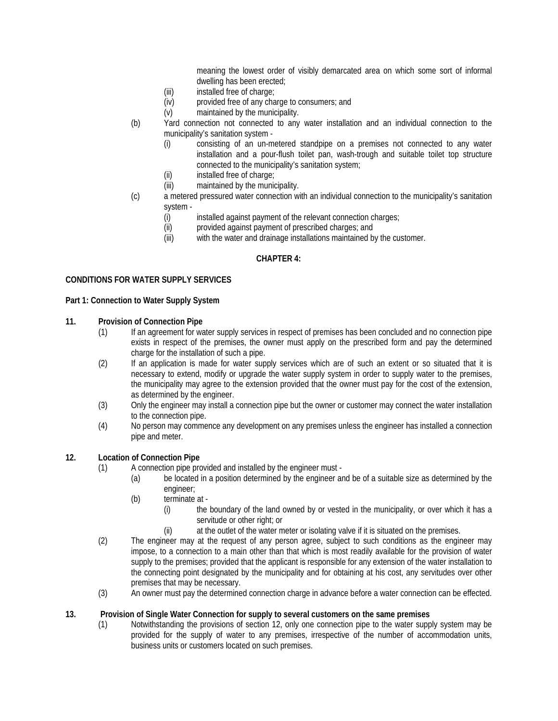meaning the lowest order of visibly demarcated area on which some sort of informal dwelling has been erected;

- (iii) installed free of charge;<br>(iv) provided free of any cha
- provided free of any charge to consumers; and
- (v) maintained by the municipality.
- (b) Yard connection not connected to any water installation and an individual connection to the municipality's sanitation system -
	- (i) consisting of an un-metered standpipe on a premises not connected to any water installation and a pour-flush toilet pan, wash-trough and suitable toilet top structure connected to the municipality's sanitation system;
	- (ii) installed free of charge;
	- (iii) maintained by the municipality.
- (c) a metered pressured water connection with an individual connection to the municipality's sanitation system -<br>(i)
	- installed against payment of the relevant connection charges;
	- (ii) provided against payment of prescribed charges; and
	- (iii) with the water and drainage installations maintained by the customer.

#### **CHAPTER 4:**

#### **CONDITIONS FOR WATER SUPPLY SERVICES**

#### **Part 1: Connection to Water Supply System**

### **11. Provision of Connection Pipe**

- (1) If an agreement for water supply services in respect of premises has been concluded and no connection pipe exists in respect of the premises, the owner must apply on the prescribed form and pay the determined charge for the installation of such a pipe.
- (2) If an application is made for water supply services which are of such an extent or so situated that it is necessary to extend, modify or upgrade the water supply system in order to supply water to the premises, the municipality may agree to the extension provided that the owner must pay for the cost of the extension, as determined by the engineer.
- (3) Only the engineer may install a connection pipe but the owner or customer may connect the water installation to the connection pipe.
- (4) No person may commence any development on any premises unless the engineer has installed a connection pipe and meter.

#### **12. Location of Connection Pipe**

- (1) A connection pipe provided and installed by the engineer must
	- (a) be located in a position determined by the engineer and be of a suitable size as determined by the engineer;
	- (b) terminate at
		- (i) the boundary of the land owned by or vested in the municipality, or over which it has a servitude or other right; or
		- (ii) at the outlet of the water meter or isolating valve if it is situated on the premises.
- (2) The engineer may at the request of any person agree, subject to such conditions as the engineer may impose, to a connection to a main other than that which is most readily available for the provision of water supply to the premises; provided that the applicant is responsible for any extension of the water installation to the connecting point designated by the municipality and for obtaining at his cost, any servitudes over other premises that may be necessary.
- (3) An owner must pay the determined connection charge in advance before a water connection can be effected.

#### **13. Provision of Single Water Connection for supply to several customers on the same premises**

(1) Notwithstanding the provisions of section 12, only one connection pipe to the water supply system may be provided for the supply of water to any premises, irrespective of the number of accommodation units, business units or customers located on such premises.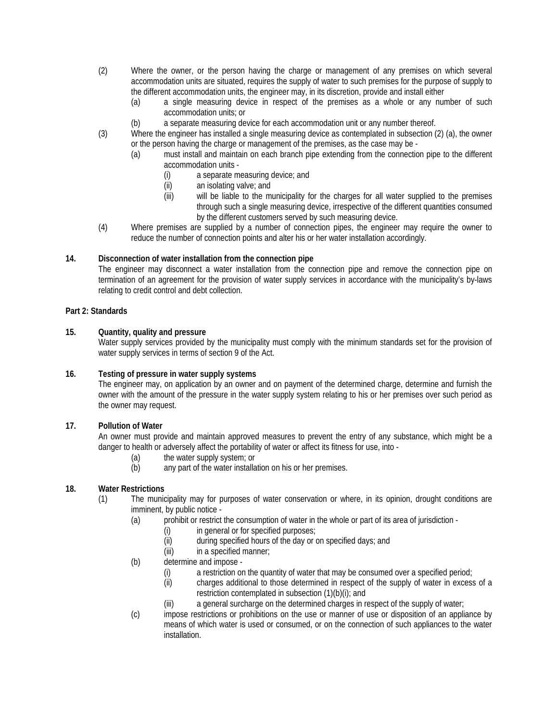- (2) Where the owner, or the person having the charge or management of any premises on which several accommodation units are situated, requires the supply of water to such premises for the purpose of supply to the different accommodation units, the engineer may, in its discretion, provide and install either
	- (a) a single measuring device in respect of the premises as a whole or any number of such accommodation units; or
	- (b) a separate measuring device for each accommodation unit or any number thereof.
- (3) Where the engineer has installed a single measuring device as contemplated in subsection (2) (a), the owner or the person having the charge or management of the premises, as the case may be -
	- (a) must install and maintain on each branch pipe extending from the connection pipe to the different accommodation units -
		- (i) a separate measuring device; and
		- (ii) an isolating valve; and
		- (iii) will be liable to the municipality for the charges for all water supplied to the premises through such a single measuring device, irrespective of the different quantities consumed by the different customers served by such measuring device.
- (4) Where premises are supplied by a number of connection pipes, the engineer may require the owner to reduce the number of connection points and alter his or her water installation accordingly.

### **14. Disconnection of water installation from the connection pipe**

The engineer may disconnect a water installation from the connection pipe and remove the connection pipe on termination of an agreement for the provision of water supply services in accordance with the municipality's by-laws relating to credit control and debt collection.

### **Part 2: Standards**

#### **15. Quantity, quality and pressure**

Water supply services provided by the municipality must comply with the minimum standards set for the provision of water supply services in terms of section 9 of the Act.

#### **16. Testing of pressure in water supply systems**

The engineer may, on application by an owner and on payment of the determined charge, determine and furnish the owner with the amount of the pressure in the water supply system relating to his or her premises over such period as the owner may request.

## **17. Pollution of Water**

An owner must provide and maintain approved measures to prevent the entry of any substance, which might be a danger to health or adversely affect the portability of water or affect its fitness for use, into -

- (a) the water supply system; or
- (b) any part of the water installation on his or her premises.

#### **18. Water Restrictions**

- (1) The municipality may for purposes of water conservation or where, in its opinion, drought conditions are imminent, by public notice -
	- (a) prohibit or restrict the consumption of water in the whole or part of its area of jurisdiction
		- (i) in general or for specified purposes;
		- (ii) during specified hours of the day or on specified days; and
		- (iii) in a specified manner;
	- (b) determine and impose
		- (i) a restriction on the quantity of water that may be consumed over a specified period;
		- (ii) charges additional to those determined in respect of the supply of water in excess of a restriction contemplated in subsection (1)(b)(i); and
		- (iii) a general surcharge on the determined charges in respect of the supply of water;
	- (c) impose restrictions or prohibitions on the use or manner of use or disposition of an appliance by means of which water is used or consumed, or on the connection of such appliances to the water installation.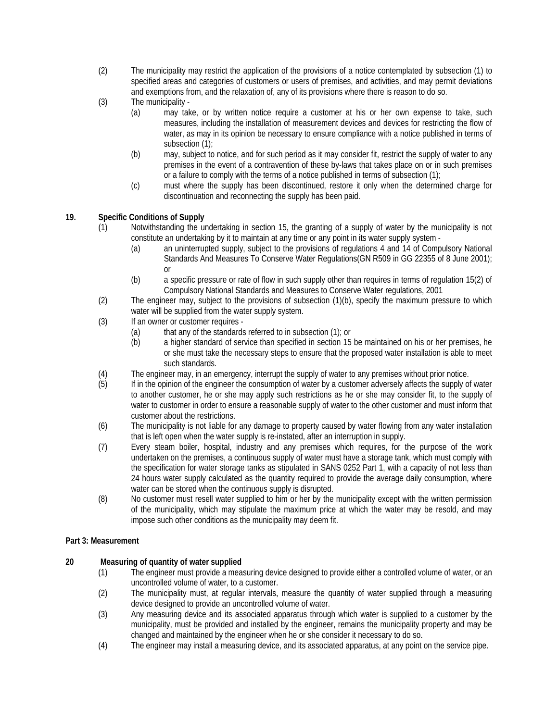- (2) The municipality may restrict the application of the provisions of a notice contemplated by subsection (1) to specified areas and categories of customers or users of premises, and activities, and may permit deviations and exemptions from, and the relaxation of, any of its provisions where there is reason to do so.
- (3) The municipality
	- (a) may take, or by written notice require a customer at his or her own expense to take, such measures, including the installation of measurement devices and devices for restricting the flow of water, as may in its opinion be necessary to ensure compliance with a notice published in terms of subsection (1);
	- (b) may, subject to notice, and for such period as it may consider fit, restrict the supply of water to any premises in the event of a contravention of these by-laws that takes place on or in such premises or a failure to comply with the terms of a notice published in terms of subsection (1);
	- (c) must where the supply has been discontinued, restore it only when the determined charge for discontinuation and reconnecting the supply has been paid.

## **19. Specific Conditions of Supply**

- (1) Notwithstanding the undertaking in section 15, the granting of a supply of water by the municipality is not constitute an undertaking by it to maintain at any time or any point in its water supply system -
	- (a) an uninterrupted supply, subject to the provisions of regulations 4 and 14 of Compulsory National Standards And Measures To Conserve Water Regulations(GN R509 in GG 22355 of 8 June 2001); or
	- (b) a specific pressure or rate of flow in such supply other than requires in terms of regulation 15(2) of Compulsory National Standards and Measures to Conserve Water regulations, 2001
- (2) The engineer may, subject to the provisions of subsection (1)(b), specify the maximum pressure to which water will be supplied from the water supply system.
- (3) If an owner or customer requires
	- (a) that any of the standards referred to in subsection (1); or
	- (b) a higher standard of service than specified in section 15 be maintained on his or her premises, he or she must take the necessary steps to ensure that the proposed water installation is able to meet such standards.
- (4) The engineer may, in an emergency, interrupt the supply of water to any premises without prior notice.<br>(5) If in the opinion of the engineer the consumption of water by a customer adversely affects the supply of
- If in the opinion of the engineer the consumption of water by a customer adversely affects the supply of water to another customer, he or she may apply such restrictions as he or she may consider fit, to the supply of water to customer in order to ensure a reasonable supply of water to the other customer and must inform that customer about the restrictions.
- (6) The municipality is not liable for any damage to property caused by water flowing from any water installation that is left open when the water supply is re-instated, after an interruption in supply.
- (7) Every steam boiler, hospital, industry and any premises which requires, for the purpose of the work undertaken on the premises, a continuous supply of water must have a storage tank, which must comply with the specification for water storage tanks as stipulated in SANS 0252 Part 1, with a capacity of not less than 24 hours water supply calculated as the quantity required to provide the average daily consumption, where water can be stored when the continuous supply is disrupted.
- (8) No customer must resell water supplied to him or her by the municipality except with the written permission of the municipality, which may stipulate the maximum price at which the water may be resold, and may impose such other conditions as the municipality may deem fit.

## **Part 3: Measurement**

# **20 Measuring of quantity of water supplied**

- (1) The engineer must provide a measuring device designed to provide either a controlled volume of water, or an uncontrolled volume of water, to a customer.
- (2) The municipality must, at regular intervals, measure the quantity of water supplied through a measuring device designed to provide an uncontrolled volume of water.
- (3) Any measuring device and its associated apparatus through which water is supplied to a customer by the municipality, must be provided and installed by the engineer, remains the municipality property and may be changed and maintained by the engineer when he or she consider it necessary to do so.
- (4) The engineer may install a measuring device, and its associated apparatus, at any point on the service pipe.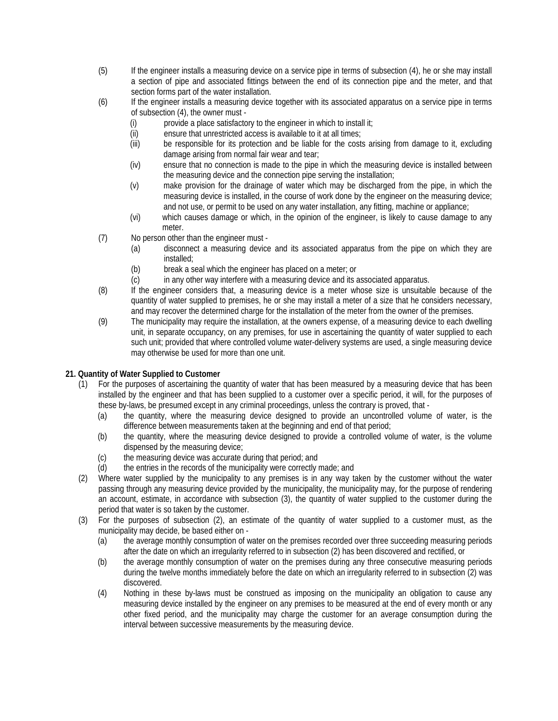- (5) If the engineer installs a measuring device on a service pipe in terms of subsection (4), he or she may install a section of pipe and associated fittings between the end of its connection pipe and the meter, and that section forms part of the water installation.
- (6) If the engineer installs a measuring device together with its associated apparatus on a service pipe in terms of subsection (4), the owner must -
	- (i) provide a place satisfactory to the engineer in which to install it;
	- (ii) ensure that unrestricted access is available to it at all times;
	- (iii) be responsible for its protection and be liable for the costs arising from damage to it, excluding damage arising from normal fair wear and tear;
	- (iv) ensure that no connection is made to the pipe in which the measuring device is installed between the measuring device and the connection pipe serving the installation;
	- (v) make provision for the drainage of water which may be discharged from the pipe, in which the measuring device is installed, in the course of work done by the engineer on the measuring device; and not use, or permit to be used on any water installation, any fitting, machine or appliance;
	- (vi) which causes damage or which, in the opinion of the engineer, is likely to cause damage to any meter.
- (7) No person other than the engineer must
	- (a) disconnect a measuring device and its associated apparatus from the pipe on which they are installed;
	- (b) break a seal which the engineer has placed on a meter; or
	- (c) in any other way interfere with a measuring device and its associated apparatus.
- (8) If the engineer considers that, a measuring device is a meter whose size is unsuitable because of the quantity of water supplied to premises, he or she may install a meter of a size that he considers necessary, and may recover the determined charge for the installation of the meter from the owner of the premises.
- (9) The municipality may require the installation, at the owners expense, of a measuring device to each dwelling unit, in separate occupancy, on any premises, for use in ascertaining the quantity of water supplied to each such unit; provided that where controlled volume water-delivery systems are used, a single measuring device may otherwise be used for more than one unit.

#### **21. Quantity of Water Supplied to Customer**

- (1) For the purposes of ascertaining the quantity of water that has been measured by a measuring device that has been installed by the engineer and that has been supplied to a customer over a specific period, it will, for the purposes of these by-laws, be presumed except in any criminal proceedings, unless the contrary is proved, that -
	- (a) the quantity, where the measuring device designed to provide an uncontrolled volume of water, is the difference between measurements taken at the beginning and end of that period;
	- (b) the quantity, where the measuring device designed to provide a controlled volume of water, is the volume dispensed by the measuring device;
	- (c) the measuring device was accurate during that period; and
	- (d) the entries in the records of the municipality were correctly made; and
- (2) Where water supplied by the municipality to any premises is in any way taken by the customer without the water passing through any measuring device provided by the municipality, the municipality may, for the purpose of rendering an account, estimate, in accordance with subsection (3), the quantity of water supplied to the customer during the period that water is so taken by the customer.
- (3) For the purposes of subsection (2), an estimate of the quantity of water supplied to a customer must, as the municipality may decide, be based either on -
	- (a) the average monthly consumption of water on the premises recorded over three succeeding measuring periods after the date on which an irregularity referred to in subsection (2) has been discovered and rectified, or
	- (b) the average monthly consumption of water on the premises during any three consecutive measuring periods during the twelve months immediately before the date on which an irregularity referred to in subsection (2) was discovered.
	- (4) Nothing in these by-laws must be construed as imposing on the municipality an obligation to cause any measuring device installed by the engineer on any premises to be measured at the end of every month or any other fixed period, and the municipality may charge the customer for an average consumption during the interval between successive measurements by the measuring device.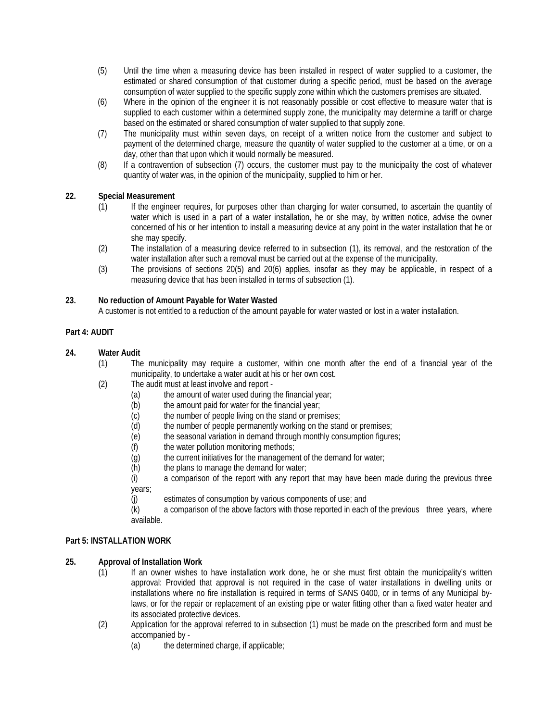- (5) Until the time when a measuring device has been installed in respect of water supplied to a customer, the estimated or shared consumption of that customer during a specific period, must be based on the average consumption of water supplied to the specific supply zone within which the customers premises are situated.
- (6) Where in the opinion of the engineer it is not reasonably possible or cost effective to measure water that is supplied to each customer within a determined supply zone, the municipality may determine a tariff or charge based on the estimated or shared consumption of water supplied to that supply zone.
- (7) The municipality must within seven days, on receipt of a written notice from the customer and subject to payment of the determined charge, measure the quantity of water supplied to the customer at a time, or on a day, other than that upon which it would normally be measured.
- (8) If a contravention of subsection (7) occurs, the customer must pay to the municipality the cost of whatever quantity of water was, in the opinion of the municipality, supplied to him or her.

## **22. Special Measurement**

- (1) If the engineer requires, for purposes other than charging for water consumed, to ascertain the quantity of water which is used in a part of a water installation, he or she may, by written notice, advise the owner concerned of his or her intention to install a measuring device at any point in the water installation that he or she may specify.
- (2) The installation of a measuring device referred to in subsection (1), its removal, and the restoration of the water installation after such a removal must be carried out at the expense of the municipality.
- (3) The provisions of sections 20(5) and 20(6) applies, insofar as they may be applicable, in respect of a measuring device that has been installed in terms of subsection (1).

## **23. No reduction of Amount Payable for Water Wasted**

A customer is not entitled to a reduction of the amount payable for water wasted or lost in a water installation.

## **Part 4: AUDIT**

## **24. Water Audit**

- (1) The municipality may require a customer, within one month after the end of a financial year of the municipality, to undertake a water audit at his or her own cost.
- (2) The audit must at least involve and report
	- (a) the amount of water used during the financial year;<br>(b) the amount paid for water for the financial year;
	- the amount paid for water for the financial year;
	- (c) the number of people living on the stand or premises;<br>(d) the number of people permanently working on the stan
	- the number of people permanently working on the stand or premises;
	- (e) the seasonal variation in demand through monthly consumption figures;
	- (f) the water pollution monitoring methods;
	- (g) the current initiatives for the management of the demand for water;
	- $(h)$  the plans to manage the demand for water;

(i) a comparison of the report with any report that may have been made during the previous three years;

(j) estimates of consumption by various components of use; and

(k) a comparison of the above factors with those reported in each of the previous three years, where available.

### **Part 5: INSTALLATION WORK**

# **25. Approval of Installation Work**

- (1) If an owner wishes to have installation work done, he or she must first obtain the municipality's written approval: Provided that approval is not required in the case of water installations in dwelling units or installations where no fire installation is required in terms of SANS 0400, or in terms of any Municipal bylaws, or for the repair or replacement of an existing pipe or water fitting other than a fixed water heater and its associated protective devices.
- (2) Application for the approval referred to in subsection (1) must be made on the prescribed form and must be accompanied by -
	- (a) the determined charge, if applicable;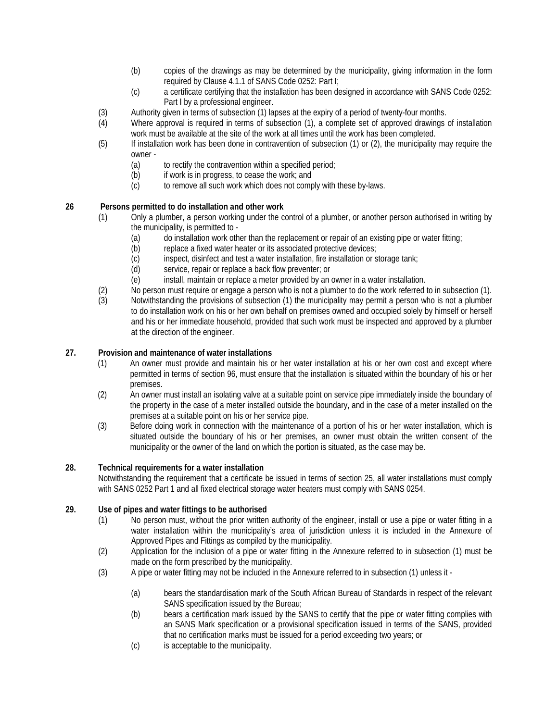- (b) copies of the drawings as may be determined by the municipality, giving information in the form required by Clause 4.1.1 of SANS Code 0252: Part I;
- (c) a certificate certifying that the installation has been designed in accordance with SANS Code 0252: Part I by a professional engineer.
- (3) Authority given in terms of subsection (1) lapses at the expiry of a period of twenty-four months.
- (4) Where approval is required in terms of subsection (1), a complete set of approved drawings of installation work must be available at the site of the work at all times until the work has been completed.
- (5) If installation work has been done in contravention of subsection (1) or (2), the municipality may require the owner -
	- (a) to rectify the contravention within a specified period;
	- (b) if work is in progress, to cease the work; and
	- (c) to remove all such work which does not comply with these by-laws.

## **26 Persons permitted to do installation and other work**

- (1) Only a plumber, a person working under the control of a plumber, or another person authorised in writing by the municipality, is permitted to -
	- (a) do installation work other than the replacement or repair of an existing pipe or water fitting;
	- (b) replace a fixed water heater or its associated protective devices;
	- (c) inspect, disinfect and test a water installation, fire installation or storage tank;
	- (d) service, repair or replace a back flow preventer; or
	- (e) install, maintain or replace a meter provided by an owner in a water installation.
- (2) No person must require or engage a person who is not a plumber to do the work referred to in subsection (1).
- (3) Notwithstanding the provisions of subsection (1) the municipality may permit a person who is not a plumber to do installation work on his or her own behalf on premises owned and occupied solely by himself or herself and his or her immediate household, provided that such work must be inspected and approved by a plumber at the direction of the engineer.

# **27. Provision and maintenance of water installations**

- (1) An owner must provide and maintain his or her water installation at his or her own cost and except where permitted in terms of section 96, must ensure that the installation is situated within the boundary of his or her premises.
- (2) An owner must install an isolating valve at a suitable point on service pipe immediately inside the boundary of the property in the case of a meter installed outside the boundary, and in the case of a meter installed on the premises at a suitable point on his or her service pipe.
- (3) Before doing work in connection with the maintenance of a portion of his or her water installation, which is situated outside the boundary of his or her premises, an owner must obtain the written consent of the municipality or the owner of the land on which the portion is situated, as the case may be.

## **28. Technical requirements for a water installation**

Notwithstanding the requirement that a certificate be issued in terms of section 25, all water installations must comply with SANS 0252 Part 1 and all fixed electrical storage water heaters must comply with SANS 0254.

## **29. Use of pipes and water fittings to be authorised**

- (1) No person must, without the prior written authority of the engineer, install or use a pipe or water fitting in a water installation within the municipality's area of jurisdiction unless it is included in the Annexure of Approved Pipes and Fittings as compiled by the municipality.
- (2) Application for the inclusion of a pipe or water fitting in the Annexure referred to in subsection (1) must be made on the form prescribed by the municipality.
- (3) A pipe or water fitting may not be included in the Annexure referred to in subsection (1) unless it
	- (a) bears the standardisation mark of the South African Bureau of Standards in respect of the relevant SANS specification issued by the Bureau;
	- (b) bears a certification mark issued by the SANS to certify that the pipe or water fitting complies with an SANS Mark specification or a provisional specification issued in terms of the SANS, provided that no certification marks must be issued for a period exceeding two years; or
	- (c) is acceptable to the municipality.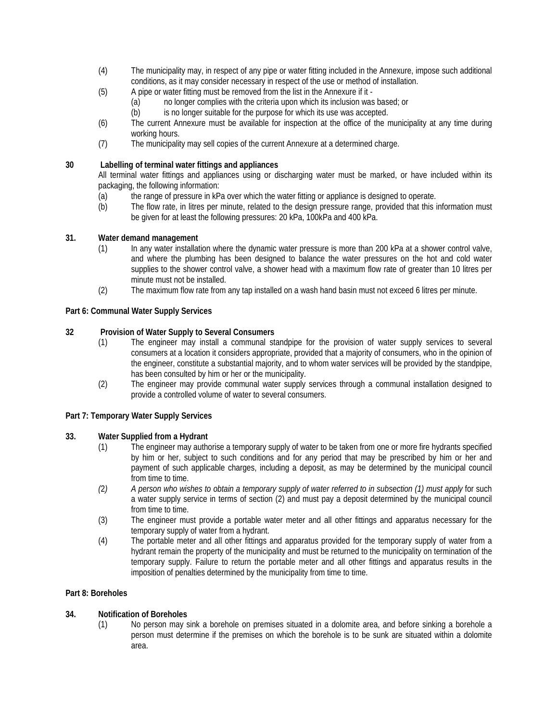- (4) The municipality may, in respect of any pipe or water fitting included in the Annexure, impose such additional conditions, as it may consider necessary in respect of the use or method of installation.
- (5) A pipe or water fitting must be removed from the list in the Annexure if it
	- (a) no longer complies with the criteria upon which its inclusion was based; or
	- (b) is no longer suitable for the purpose for which its use was accepted.
- (6) The current Annexure must be available for inspection at the office of the municipality at any time during working hours.
- (7) The municipality may sell copies of the current Annexure at a determined charge.

## **30 Labelling of terminal water fittings and appliances**

All terminal water fittings and appliances using or discharging water must be marked, or have included within its packaging, the following information:

- (a) the range of pressure in kPa over which the water fitting or appliance is designed to operate.
- (b) The flow rate, in litres per minute, related to the design pressure range, provided that this information must be given for at least the following pressures: 20 kPa, 100kPa and 400 kPa.

### **31. Water demand management**

- (1) In any water installation where the dynamic water pressure is more than 200 kPa at a shower control valve, and where the plumbing has been designed to balance the water pressures on the hot and cold water supplies to the shower control valve, a shower head with a maximum flow rate of greater than 10 litres per minute must not be installed.
- (2) The maximum flow rate from any tap installed on a wash hand basin must not exceed 6 litres per minute.

## **Part 6: Communal Water Supply Services**

### **32 Provision of Water Supply to Several Consumers**

- (1) The engineer may install a communal standpipe for the provision of water supply services to several consumers at a location it considers appropriate, provided that a majority of consumers, who in the opinion of the engineer, constitute a substantial majority, and to whom water services will be provided by the standpipe, has been consulted by him or her or the municipality.
- (2) The engineer may provide communal water supply services through a communal installation designed to provide a controlled volume of water to several consumers.

#### **Part 7: Temporary Water Supply Services**

#### **33. Water Supplied from a Hydrant**

- (1) The engineer may authorise a temporary supply of water to be taken from one or more fire hydrants specified by him or her, subject to such conditions and for any period that may be prescribed by him or her and payment of such applicable charges, including a deposit, as may be determined by the municipal council from time to time.
- *(*2*) A person who wishes to obtain a temporary supply of water referred to in subsection (1) must apply* for such a water supply service in terms of section (2) and must pay a deposit determined by the municipal council from time to time.
- (3) The engineer must provide a portable water meter and all other fittings and apparatus necessary for the temporary supply of water from a hydrant.
- (4) The portable meter and all other fittings and apparatus provided for the temporary supply of water from a hydrant remain the property of the municipality and must be returned to the municipality on termination of the temporary supply. Failure to return the portable meter and all other fittings and apparatus results in the imposition of penalties determined by the municipality from time to time.

#### **Part 8: Boreholes**

## **34. Notification of Boreholes**

(1) No person may sink a borehole on premises situated in a dolomite area, and before sinking a borehole a person must determine if the premises on which the borehole is to be sunk are situated within a dolomite area.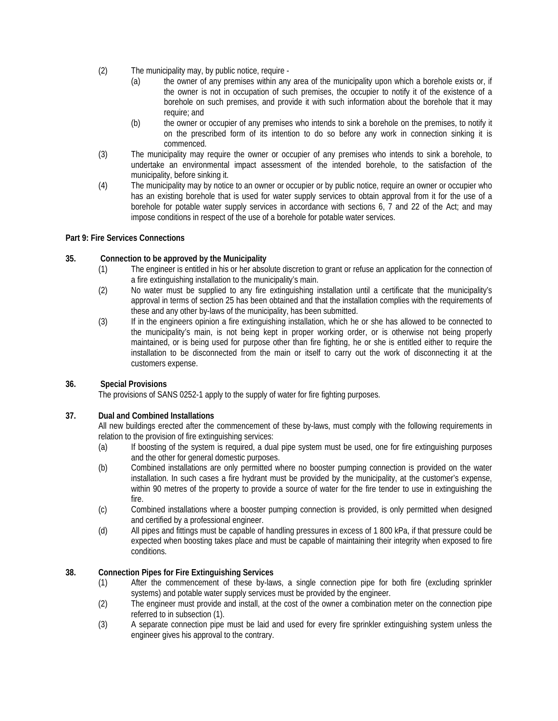- (2) The municipality may, by public notice, require
	- (a) the owner of any premises within any area of the municipality upon which a borehole exists or, if the owner is not in occupation of such premises, the occupier to notify it of the existence of a borehole on such premises, and provide it with such information about the borehole that it may require; and
	- (b) the owner or occupier of any premises who intends to sink a borehole on the premises, to notify it on the prescribed form of its intention to do so before any work in connection sinking it is commenced.
- (3) The municipality may require the owner or occupier of any premises who intends to sink a borehole, to undertake an environmental impact assessment of the intended borehole, to the satisfaction of the municipality, before sinking it.
- (4) The municipality may by notice to an owner or occupier or by public notice, require an owner or occupier who has an existing borehole that is used for water supply services to obtain approval from it for the use of a borehole for potable water supply services in accordance with sections 6, 7 and 22 of the Act; and may impose conditions in respect of the use of a borehole for potable water services.

### **Part 9: Fire Services Connections**

### **35. Connection to be approved by the Municipality**

- (1) The engineer is entitled in his or her absolute discretion to grant or refuse an application for the connection of a fire extinguishing installation to the municipality's main.
- (2) No water must be supplied to any fire extinguishing installation until a certificate that the municipality's approval in terms of section 25 has been obtained and that the installation complies with the requirements of these and any other by-laws of the municipality, has been submitted.
- (3) If in the engineers opinion a fire extinguishing installation, which he or she has allowed to be connected to the municipality's main, is not being kept in proper working order, or is otherwise not being properly maintained, or is being used for purpose other than fire fighting, he or she is entitled either to require the installation to be disconnected from the main or itself to carry out the work of disconnecting it at the customers expense.

## **36. Special Provisions**

The provisions of SANS 0252-1 apply to the supply of water for fire fighting purposes.

## **37. Dual and Combined Installations**

All new buildings erected after the commencement of these by-laws, must comply with the following requirements in relation to the provision of fire extinguishing services:

- (a) If boosting of the system is required, a dual pipe system must be used, one for fire extinguishing purposes and the other for general domestic purposes.
- (b) Combined installations are only permitted where no booster pumping connection is provided on the water installation. In such cases a fire hydrant must be provided by the municipality, at the customer's expense, within 90 metres of the property to provide a source of water for the fire tender to use in extinguishing the fire.
- (c) Combined installations where a booster pumping connection is provided, is only permitted when designed and certified by a professional engineer.
- (d) All pipes and fittings must be capable of handling pressures in excess of 1 800 kPa, if that pressure could be expected when boosting takes place and must be capable of maintaining their integrity when exposed to fire conditions.

## **38. Connection Pipes for Fire Extinguishing Services**

- (1) After the commencement of these by-laws, a single connection pipe for both fire (excluding sprinkler systems) and potable water supply services must be provided by the engineer.
- (2) The engineer must provide and install, at the cost of the owner a combination meter on the connection pipe referred to in subsection (1).
- (3) A separate connection pipe must be laid and used for every fire sprinkler extinguishing system unless the engineer gives his approval to the contrary.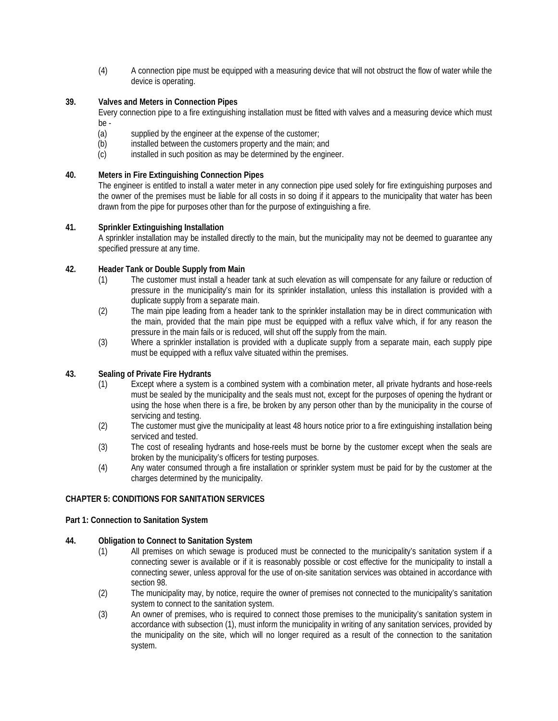(4) A connection pipe must be equipped with a measuring device that will not obstruct the flow of water while the device is operating.

# **39. Valves and Meters in Connection Pipes**

Every connection pipe to a fire extinguishing installation must be fitted with valves and a measuring device which must be -

- (a) supplied by the engineer at the expense of the customer;
- (b) installed between the customers property and the main; and
- (c) installed in such position as may be determined by the engineer.

# **40. Meters in Fire Extinguishing Connection Pipes**

The engineer is entitled to install a water meter in any connection pipe used solely for fire extinguishing purposes and the owner of the premises must be liable for all costs in so doing if it appears to the municipality that water has been drawn from the pipe for purposes other than for the purpose of extinguishing a fire.

## **41. Sprinkler Extinguishing Installation**

A sprinkler installation may be installed directly to the main, but the municipality may not be deemed to guarantee any specified pressure at any time.

## **42. Header Tank or Double Supply from Main**

- (1) The customer must install a header tank at such elevation as will compensate for any failure or reduction of pressure in the municipality's main for its sprinkler installation, unless this installation is provided with a duplicate supply from a separate main.
- (2) The main pipe leading from a header tank to the sprinkler installation may be in direct communication with the main, provided that the main pipe must be equipped with a reflux valve which, if for any reason the pressure in the main fails or is reduced, will shut off the supply from the main.
- (3) Where a sprinkler installation is provided with a duplicate supply from a separate main, each supply pipe must be equipped with a reflux valve situated within the premises.

## **43. Sealing of Private Fire Hydrants**

- (1) Except where a system is a combined system with a combination meter, all private hydrants and hose-reels must be sealed by the municipality and the seals must not, except for the purposes of opening the hydrant or using the hose when there is a fire, be broken by any person other than by the municipality in the course of servicing and testing.
- (2) The customer must give the municipality at least 48 hours notice prior to a fire extinguishing installation being serviced and tested.
- (3) The cost of resealing hydrants and hose-reels must be borne by the customer except when the seals are broken by the municipality's officers for testing purposes.
- (4) Any water consumed through a fire installation or sprinkler system must be paid for by the customer at the charges determined by the municipality.

## **CHAPTER 5: CONDITIONS FOR SANITATION SERVICES**

#### **Part 1: Connection to Sanitation System**

#### **44. Obligation to Connect to Sanitation System**

- (1) All premises on which sewage is produced must be connected to the municipality's sanitation system if a connecting sewer is available or if it is reasonably possible or cost effective for the municipality to install a connecting sewer, unless approval for the use of on-site sanitation services was obtained in accordance with section 98.
- (2) The municipality may, by notice, require the owner of premises not connected to the municipality's sanitation system to connect to the sanitation system.
- (3) An owner of premises, who is required to connect those premises to the municipality's sanitation system in accordance with subsection (1), must inform the municipality in writing of any sanitation services, provided by the municipality on the site, which will no longer required as a result of the connection to the sanitation system.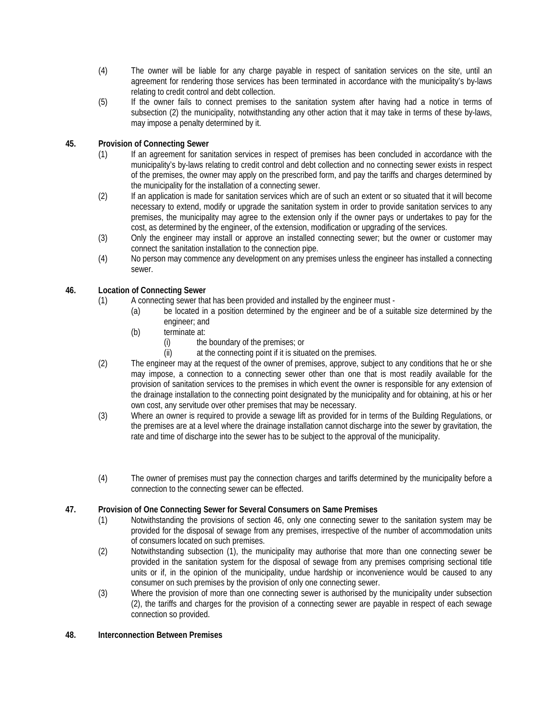- (4) The owner will be liable for any charge payable in respect of sanitation services on the site, until an agreement for rendering those services has been terminated in accordance with the municipality's by-laws relating to credit control and debt collection.
- (5) If the owner fails to connect premises to the sanitation system after having had a notice in terms of subsection (2) the municipality, notwithstanding any other action that it may take in terms of these by-laws, may impose a penalty determined by it.

# **45. Provision of Connecting Sewer**

- (1) If an agreement for sanitation services in respect of premises has been concluded in accordance with the municipality's by-laws relating to credit control and debt collection and no connecting sewer exists in respect of the premises, the owner may apply on the prescribed form, and pay the tariffs and charges determined by the municipality for the installation of a connecting sewer.
- (2) If an application is made for sanitation services which are of such an extent or so situated that it will become necessary to extend, modify or upgrade the sanitation system in order to provide sanitation services to any premises, the municipality may agree to the extension only if the owner pays or undertakes to pay for the cost, as determined by the engineer, of the extension, modification or upgrading of the services.
- (3) Only the engineer may install or approve an installed connecting sewer; but the owner or customer may connect the sanitation installation to the connection pipe.
- (4) No person may commence any development on any premises unless the engineer has installed a connecting sewer.

# **46. Location of Connecting Sewer**

- (1) A connecting sewer that has been provided and installed by the engineer must
	- (a) be located in a position determined by the engineer and be of a suitable size determined by the engineer; and
	- (b) terminate at:
		- (i) the boundary of the premises; or
		- (ii) at the connecting point if it is situated on the premises.
- (2) The engineer may at the request of the owner of premises, approve, subject to any conditions that he or she may impose, a connection to a connecting sewer other than one that is most readily available for the provision of sanitation services to the premises in which event the owner is responsible for any extension of the drainage installation to the connecting point designated by the municipality and for obtaining, at his or her own cost, any servitude over other premises that may be necessary.
- (3) Where an owner is required to provide a sewage lift as provided for in terms of the Building Regulations, or the premises are at a level where the drainage installation cannot discharge into the sewer by gravitation, the rate and time of discharge into the sewer has to be subject to the approval of the municipality.
- (4) The owner of premises must pay the connection charges and tariffs determined by the municipality before a connection to the connecting sewer can be effected.

## **47. Provision of One Connecting Sewer for Several Consumers on Same Premises**

- (1) Notwithstanding the provisions of section 46, only one connecting sewer to the sanitation system may be provided for the disposal of sewage from any premises, irrespective of the number of accommodation units of consumers located on such premises.
- (2) Notwithstanding subsection (1), the municipality may authorise that more than one connecting sewer be provided in the sanitation system for the disposal of sewage from any premises comprising sectional title units or if, in the opinion of the municipality, undue hardship or inconvenience would be caused to any consumer on such premises by the provision of only one connecting sewer.
- (3) Where the provision of more than one connecting sewer is authorised by the municipality under subsection (2), the tariffs and charges for the provision of a connecting sewer are payable in respect of each sewage connection so provided.

## **48. Interconnection Between Premises**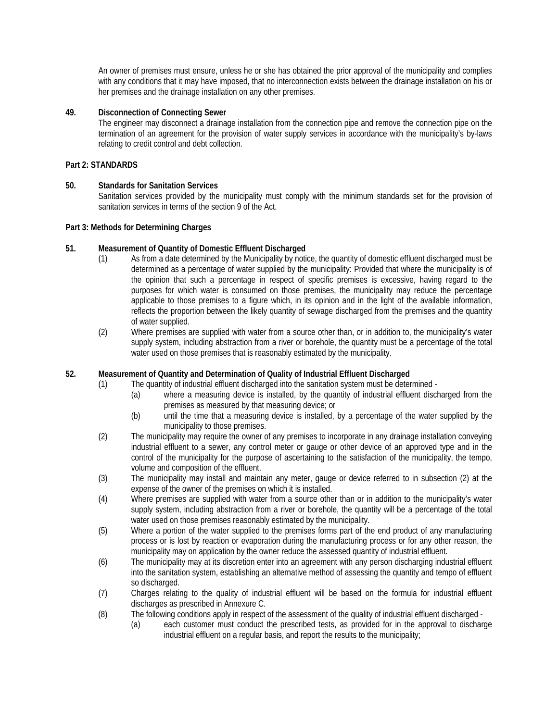An owner of premises must ensure, unless he or she has obtained the prior approval of the municipality and complies with any conditions that it may have imposed, that no interconnection exists between the drainage installation on his or her premises and the drainage installation on any other premises.

### **49. Disconnection of Connecting Sewer**

The engineer may disconnect a drainage installation from the connection pipe and remove the connection pipe on the termination of an agreement for the provision of water supply services in accordance with the municipality's by-laws relating to credit control and debt collection.

## **Part 2: STANDARDS**

### **50. Standards for Sanitation Services**

Sanitation services provided by the municipality must comply with the minimum standards set for the provision of sanitation services in terms of the section 9 of the Act.

#### **Part 3: Methods for Determining Charges**

### **51. Measurement of Quantity of Domestic Effluent Discharged**

- (1) As from a date determined by the Municipality by notice, the quantity of domestic effluent discharged must be determined as a percentage of water supplied by the municipality: Provided that where the municipality is of the opinion that such a percentage in respect of specific premises is excessive, having regard to the purposes for which water is consumed on those premises, the municipality may reduce the percentage applicable to those premises to a figure which, in its opinion and in the light of the available information, reflects the proportion between the likely quantity of sewage discharged from the premises and the quantity of water supplied.
- (2) Where premises are supplied with water from a source other than, or in addition to, the municipality's water supply system, including abstraction from a river or borehole, the quantity must be a percentage of the total water used on those premises that is reasonably estimated by the municipality.

## **52. Measurement of Quantity and Determination of Quality of Industrial Effluent Discharged**

- (1) The quantity of industrial effluent discharged into the sanitation system must be determined
	- (a) where a measuring device is installed, by the quantity of industrial effluent discharged from the premises as measured by that measuring device; or
	- (b) until the time that a measuring device is installed, by a percentage of the water supplied by the municipality to those premises.
- (2) The municipality may require the owner of any premises to incorporate in any drainage installation conveying industrial effluent to a sewer, any control meter or gauge or other device of an approved type and in the control of the municipality for the purpose of ascertaining to the satisfaction of the municipality, the tempo, volume and composition of the effluent.
- (3) The municipality may install and maintain any meter, gauge or device referred to in subsection (2) at the expense of the owner of the premises on which it is installed.
- (4) Where premises are supplied with water from a source other than or in addition to the municipality's water supply system, including abstraction from a river or borehole, the quantity will be a percentage of the total water used on those premises reasonably estimated by the municipality.
- (5) Where a portion of the water supplied to the premises forms part of the end product of any manufacturing process or is lost by reaction or evaporation during the manufacturing process or for any other reason, the municipality may on application by the owner reduce the assessed quantity of industrial effluent.
- (6) The municipality may at its discretion enter into an agreement with any person discharging industrial effluent into the sanitation system, establishing an alternative method of assessing the quantity and tempo of effluent so discharged.
- (7) Charges relating to the quality of industrial effluent will be based on the formula for industrial effluent discharges as prescribed in Annexure C.
- (8) The following conditions apply in respect of the assessment of the quality of industrial effluent discharged
	- (a) each customer must conduct the prescribed tests, as provided for in the approval to discharge industrial effluent on a regular basis, and report the results to the municipality;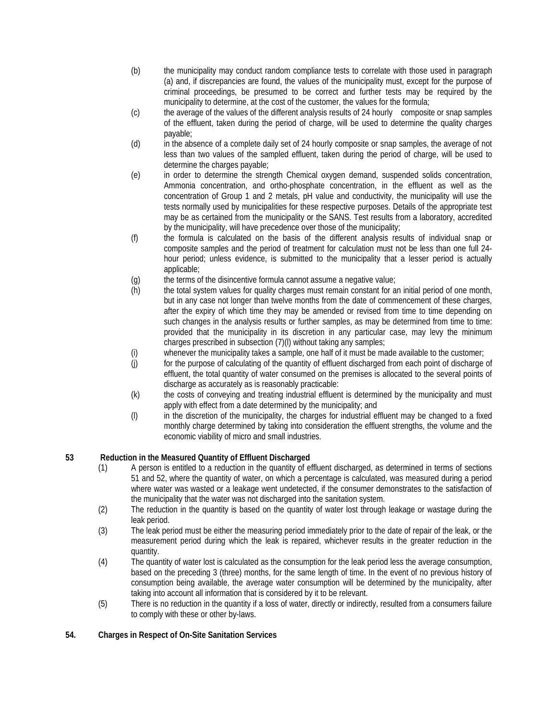- (b) the municipality may conduct random compliance tests to correlate with those used in paragraph (a) and, if discrepancies are found, the values of the municipality must, except for the purpose of criminal proceedings, be presumed to be correct and further tests may be required by the municipality to determine, at the cost of the customer, the values for the formula;
- (c) the average of the values of the different analysis results of 24 hourly composite or snap samples of the effluent, taken during the period of charge, will be used to determine the quality charges payable;
- (d) in the absence of a complete daily set of 24 hourly composite or snap samples, the average of not less than two values of the sampled effluent, taken during the period of charge, will be used to determine the charges payable;
- (e) in order to determine the strength Chemical oxygen demand, suspended solids concentration, Ammonia concentration, and ortho-phosphate concentration, in the effluent as well as the concentration of Group 1 and 2 metals, pH value and conductivity, the municipality will use the tests normally used by municipalities for these respective purposes. Details of the appropriate test may be as certained from the municipality or the SANS. Test results from a laboratory, accredited by the municipality, will have precedence over those of the municipality;
- (f) the formula is calculated on the basis of the different analysis results of individual snap or composite samples and the period of treatment for calculation must not be less than one full 24 hour period; unless evidence, is submitted to the municipality that a lesser period is actually applicable;
- (g) the terms of the disincentive formula cannot assume a negative value;
- (h) the total system values for quality charges must remain constant for an initial period of one month, but in any case not longer than twelve months from the date of commencement of these charges, after the expiry of which time they may be amended or revised from time to time depending on such changes in the analysis results or further samples, as may be determined from time to time: provided that the municipality in its discretion in any particular case, may levy the minimum charges prescribed in subsection (7)(l) without taking any samples;
- (i) whenever the municipality takes a sample, one half of it must be made available to the customer;
- (j) for the purpose of calculating of the quantity of effluent discharged from each point of discharge of effluent, the total quantity of water consumed on the premises is allocated to the several points of discharge as accurately as is reasonably practicable:
- (k) the costs of conveying and treating industrial effluent is determined by the municipality and must apply with effect from a date determined by the municipality; and
- (l) in the discretion of the municipality, the charges for industrial effluent may be changed to a fixed monthly charge determined by taking into consideration the effluent strengths, the volume and the economic viability of micro and small industries.

## **53 Reduction in the Measured Quantity of Effluent Discharged**

- (1) A person is entitled to a reduction in the quantity of effluent discharged, as determined in terms of sections 51 and 52, where the quantity of water, on which a percentage is calculated, was measured during a period where water was wasted or a leakage went undetected, if the consumer demonstrates to the satisfaction of the municipality that the water was not discharged into the sanitation system.
- (2) The reduction in the quantity is based on the quantity of water lost through leakage or wastage during the leak period.
- (3) The leak period must be either the measuring period immediately prior to the date of repair of the leak, or the measurement period during which the leak is repaired, whichever results in the greater reduction in the quantity.
- (4) The quantity of water lost is calculated as the consumption for the leak period less the average consumption, based on the preceding 3 (three) months, for the same length of time. In the event of no previous history of consumption being available, the average water consumption will be determined by the municipality, after taking into account all information that is considered by it to be relevant.
- (5) There is no reduction in the quantity if a loss of water, directly or indirectly, resulted from a consumers failure to comply with these or other by-laws.

## **54. Charges in Respect of On-Site Sanitation Services**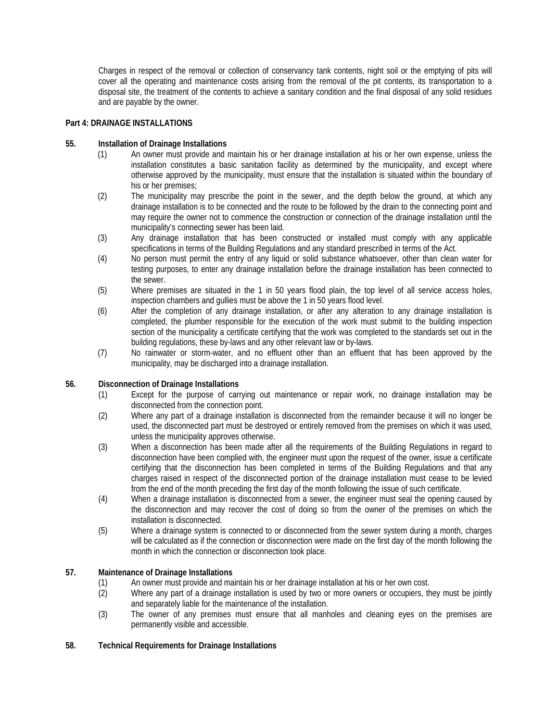Charges in respect of the removal or collection of conservancy tank contents, night soil or the emptying of pits will cover all the operating and maintenance costs arising from the removal of the pit contents, its transportation to a disposal site, the treatment of the contents to achieve a sanitary condition and the final disposal of any solid residues and are payable by the owner.

### **Part 4: DRAINAGE INSTALLATIONS**

### **55. Installation of Drainage Installations**

- (1) An owner must provide and maintain his or her drainage installation at his or her own expense, unless the installation constitutes a basic sanitation facility as determined by the municipality, and except where otherwise approved by the municipality, must ensure that the installation is situated within the boundary of his or her premises;
- (2) The municipality may prescribe the point in the sewer, and the depth below the ground, at which any drainage installation is to be connected and the route to be followed by the drain to the connecting point and may require the owner not to commence the construction or connection of the drainage installation until the municipality's connecting sewer has been laid.
- (3) Any drainage installation that has been constructed or installed must comply with any applicable specifications in terms of the Building Regulations and any standard prescribed in terms of the Act.
- (4) No person must permit the entry of any liquid or solid substance whatsoever, other than clean water for testing purposes, to enter any drainage installation before the drainage installation has been connected to the sewer.
- (5) Where premises are situated in the 1 in 50 years flood plain, the top level of all service access holes, inspection chambers and gullies must be above the 1 in 50 years flood level.
- (6) After the completion of any drainage installation, or after any alteration to any drainage installation is completed, the plumber responsible for the execution of the work must submit to the building inspection section of the municipality a certificate certifying that the work was completed to the standards set out in the building regulations, these by-laws and any other relevant law or by-laws.
- (7) No rainwater or storm-water, and no effluent other than an effluent that has been approved by the municipality, may be discharged into a drainage installation.

## **56. Disconnection of Drainage Installations**

- (1) Except for the purpose of carrying out maintenance or repair work, no drainage installation may be disconnected from the connection point.
- (2) Where any part of a drainage installation is disconnected from the remainder because it will no longer be used, the disconnected part must be destroyed or entirely removed from the premises on which it was used, unless the municipality approves otherwise.
- (3) When a disconnection has been made after all the requirements of the Building Regulations in regard to disconnection have been complied with, the engineer must upon the request of the owner, issue a certificate certifying that the disconnection has been completed in terms of the Building Regulations and that any charges raised in respect of the disconnected portion of the drainage installation must cease to be levied from the end of the month preceding the first day of the month following the issue of such certificate.
- (4) When a drainage installation is disconnected from a sewer, the engineer must seal the opening caused by the disconnection and may recover the cost of doing so from the owner of the premises on which the installation is disconnected.
- (5) Where a drainage system is connected to or disconnected from the sewer system during a month, charges will be calculated as if the connection or disconnection were made on the first day of the month following the month in which the connection or disconnection took place.

## **57. Maintenance of Drainage Installations**

- (1) An owner must provide and maintain his or her drainage installation at his or her own cost.
- (2) Where any part of a drainage installation is used by two or more owners or occupiers, they must be jointly and separately liable for the maintenance of the installation.
- (3) The owner of any premises must ensure that all manholes and cleaning eyes on the premises are permanently visible and accessible.

#### **58. Technical Requirements for Drainage Installations**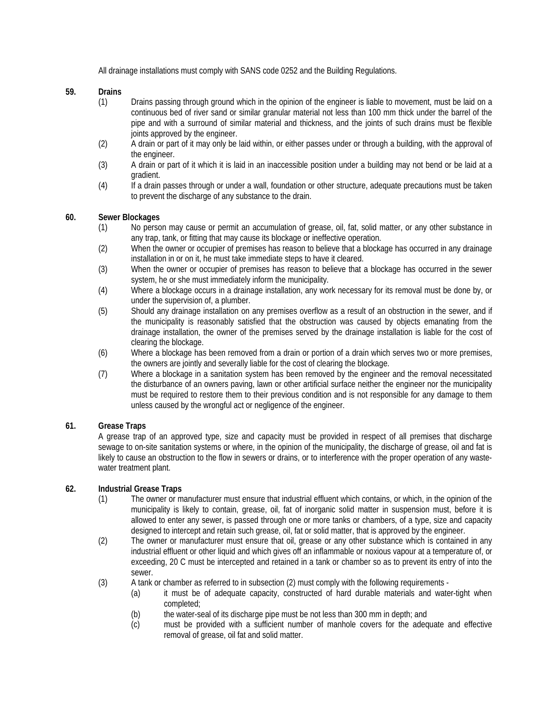All drainage installations must comply with SANS code 0252 and the Building Regulations.

### **59. Drains**

- (1) Drains passing through ground which in the opinion of the engineer is liable to movement, must be laid on a continuous bed of river sand or similar granular material not less than 100 mm thick under the barrel of the pipe and with a surround of similar material and thickness, and the joints of such drains must be flexible joints approved by the engineer.
- (2) A drain or part of it may only be laid within, or either passes under or through a building, with the approval of the engineer.
- (3) A drain or part of it which it is laid in an inaccessible position under a building may not bend or be laid at a gradient.
- (4) If a drain passes through or under a wall, foundation or other structure, adequate precautions must be taken to prevent the discharge of any substance to the drain.

### **60. Sewer Blockages**

- (1) No person may cause or permit an accumulation of grease, oil, fat, solid matter, or any other substance in any trap, tank, or fitting that may cause its blockage or ineffective operation.
- (2) When the owner or occupier of premises has reason to believe that a blockage has occurred in any drainage installation in or on it, he must take immediate steps to have it cleared.
- (3) When the owner or occupier of premises has reason to believe that a blockage has occurred in the sewer system, he or she must immediately inform the municipality.
- (4) Where a blockage occurs in a drainage installation, any work necessary for its removal must be done by, or under the supervision of, a plumber.
- (5) Should any drainage installation on any premises overflow as a result of an obstruction in the sewer, and if the municipality is reasonably satisfied that the obstruction was caused by objects emanating from the drainage installation, the owner of the premises served by the drainage installation is liable for the cost of clearing the blockage.
- (6) Where a blockage has been removed from a drain or portion of a drain which serves two or more premises, the owners are jointly and severally liable for the cost of clearing the blockage.
- (7) Where a blockage in a sanitation system has been removed by the engineer and the removal necessitated the disturbance of an owners paving, lawn or other artificial surface neither the engineer nor the municipality must be required to restore them to their previous condition and is not responsible for any damage to them unless caused by the wrongful act or negligence of the engineer.

#### **61. Grease Traps**

A grease trap of an approved type, size and capacity must be provided in respect of all premises that discharge sewage to on-site sanitation systems or where, in the opinion of the municipality, the discharge of grease, oil and fat is likely to cause an obstruction to the flow in sewers or drains, or to interference with the proper operation of any wastewater treatment plant.

## **62. Industrial Grease Traps**

- (1) The owner or manufacturer must ensure that industrial effluent which contains, or which, in the opinion of the municipality is likely to contain, grease, oil, fat of inorganic solid matter in suspension must, before it is allowed to enter any sewer, is passed through one or more tanks or chambers, of a type, size and capacity designed to intercept and retain such grease, oil, fat or solid matter, that is approved by the engineer.
- (2) The owner or manufacturer must ensure that oil, grease or any other substance which is contained in any industrial effluent or other liquid and which gives off an inflammable or noxious vapour at a temperature of, or exceeding, 20 C must be intercepted and retained in a tank or chamber so as to prevent its entry of into the sewer.
- (3) A tank or chamber as referred to in subsection (2) must comply with the following requirements
	- (a) it must be of adequate capacity, constructed of hard durable materials and water-tight when completed;
		- (b) the water-seal of its discharge pipe must be not less than 300 mm in depth; and
		- (c) must be provided with a sufficient number of manhole covers for the adequate and effective removal of grease, oil fat and solid matter.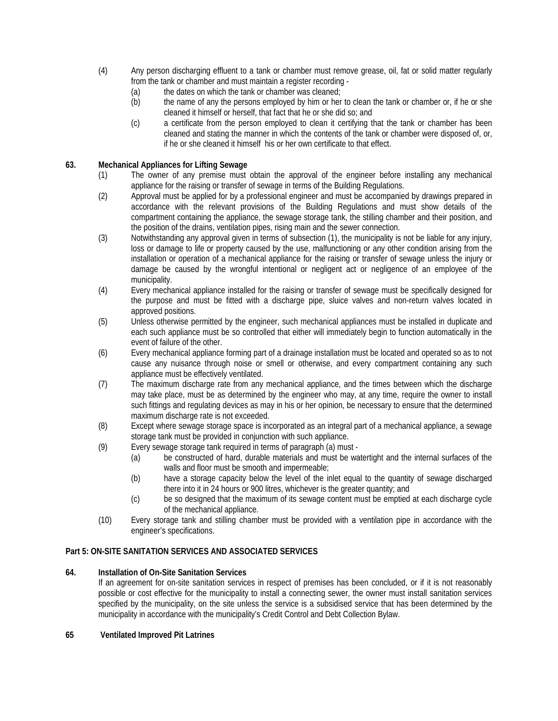- (4) Any person discharging effluent to a tank or chamber must remove grease, oil, fat or solid matter regularly from the tank or chamber and must maintain a register recording -
	- (a) the dates on which the tank or chamber was cleaned;
	- (b) the name of any the persons employed by him or her to clean the tank or chamber or, if he or she cleaned it himself or herself, that fact that he or she did so; and
	- (c) a certificate from the person employed to clean it certifying that the tank or chamber has been cleaned and stating the manner in which the contents of the tank or chamber were disposed of, or, if he or she cleaned it himself his or her own certificate to that effect.

# **63. Mechanical Appliances for Lifting Sewage**

- (1) The owner of any premise must obtain the approval of the engineer before installing any mechanical appliance for the raising or transfer of sewage in terms of the Building Regulations.
- (2) Approval must be applied for by a professional engineer and must be accompanied by drawings prepared in accordance with the relevant provisions of the Building Regulations and must show details of the compartment containing the appliance, the sewage storage tank, the stilling chamber and their position, and the position of the drains, ventilation pipes, rising main and the sewer connection.
- (3) Notwithstanding any approval given in terms of subsection (1), the municipality is not be liable for any injury, loss or damage to life or property caused by the use, malfunctioning or any other condition arising from the installation or operation of a mechanical appliance for the raising or transfer of sewage unless the injury or damage be caused by the wrongful intentional or negligent act or negligence of an employee of the municipality.
- (4) Every mechanical appliance installed for the raising or transfer of sewage must be specifically designed for the purpose and must be fitted with a discharge pipe, sluice valves and non-return valves located in approved positions.
- (5) Unless otherwise permitted by the engineer, such mechanical appliances must be installed in duplicate and each such appliance must be so controlled that either will immediately begin to function automatically in the event of failure of the other.
- (6) Every mechanical appliance forming part of a drainage installation must be located and operated so as to not cause any nuisance through noise or smell or otherwise, and every compartment containing any such appliance must be effectively ventilated.
- (7) The maximum discharge rate from any mechanical appliance, and the times between which the discharge may take place, must be as determined by the engineer who may, at any time, require the owner to install such fittings and regulating devices as may in his or her opinion, be necessary to ensure that the determined maximum discharge rate is not exceeded.
- (8) Except where sewage storage space is incorporated as an integral part of a mechanical appliance, a sewage storage tank must be provided in conjunction with such appliance.
- (9) Every sewage storage tank required in terms of paragraph (a) must
	- (a) be constructed of hard, durable materials and must be watertight and the internal surfaces of the walls and floor must be smooth and impermeable;
	- (b) have a storage capacity below the level of the inlet equal to the quantity of sewage discharged there into it in 24 hours or 900 litres, whichever is the greater quantity; and
	- (c) be so designed that the maximum of its sewage content must be emptied at each discharge cycle of the mechanical appliance.
- (10) Every storage tank and stilling chamber must be provided with a ventilation pipe in accordance with the engineer's specifications.

## **Part 5: ON-SITE SANITATION SERVICES AND ASSOCIATED SERVICES**

## **64. Installation of On-Site Sanitation Services**

If an agreement for on-site sanitation services in respect of premises has been concluded, or if it is not reasonably possible or cost effective for the municipality to install a connecting sewer, the owner must install sanitation services specified by the municipality, on the site unless the service is a subsidised service that has been determined by the municipality in accordance with the municipality's Credit Control and Debt Collection Bylaw.

#### **65 Ventilated Improved Pit Latrines**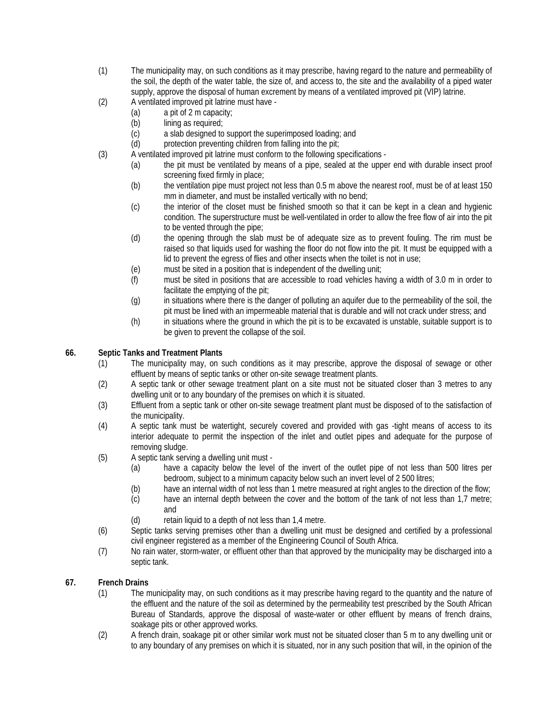- (1) The municipality may, on such conditions as it may prescribe, having regard to the nature and permeability of the soil, the depth of the water table, the size of, and access to, the site and the availability of a piped water supply, approve the disposal of human excrement by means of a ventilated improved pit (VIP) latrine.
- (2) A ventilated improved pit latrine must have
	- (a) a pit of 2 m capacity;
		- (b) lining as required;
		- (c) a slab designed to support the superimposed loading; and
		- (d) protection preventing children from falling into the pit;
- (3) A ventilated improved pit latrine must conform to the following specifications
	- (a) the pit must be ventilated by means of a pipe, sealed at the upper end with durable insect proof screening fixed firmly in place;
	- (b) the ventilation pipe must project not less than 0.5 m above the nearest roof, must be of at least 150 mm in diameter, and must be installed vertically with no bend;
	- (c) the interior of the closet must be finished smooth so that it can be kept in a clean and hygienic condition. The superstructure must be well-ventilated in order to allow the free flow of air into the pit to be vented through the pipe;
	- (d) the opening through the slab must be of adequate size as to prevent fouling. The rim must be raised so that liquids used for washing the floor do not flow into the pit. It must be equipped with a lid to prevent the egress of flies and other insects when the toilet is not in use;
	- (e) must be sited in a position that is independent of the dwelling unit;
	- (f) must be sited in positions that are accessible to road vehicles having a width of 3.0 m in order to facilitate the emptying of the pit;
	- (g) in situations where there is the danger of polluting an aquifer due to the permeability of the soil, the pit must be lined with an impermeable material that is durable and will not crack under stress; and
	- (h) in situations where the ground in which the pit is to be excavated is unstable, suitable support is to be given to prevent the collapse of the soil.

## **66. Septic Tanks and Treatment Plants**

- (1) The municipality may, on such conditions as it may prescribe, approve the disposal of sewage or other effluent by means of septic tanks or other on-site sewage treatment plants.
- (2) A septic tank or other sewage treatment plant on a site must not be situated closer than 3 metres to any dwelling unit or to any boundary of the premises on which it is situated.
- (3) Effluent from a septic tank or other on-site sewage treatment plant must be disposed of to the satisfaction of the municipality.
- (4) A septic tank must be watertight, securely covered and provided with gas -tight means of access to its interior adequate to permit the inspection of the inlet and outlet pipes and adequate for the purpose of removing sludge.
- (5) A septic tank serving a dwelling unit must
	- (a) have a capacity below the level of the invert of the outlet pipe of not less than 500 litres per bedroom, subject to a minimum capacity below such an invert level of 2 500 litres;
	- (b) have an internal width of not less than 1 metre measured at right angles to the direction of the flow;
	- (c) have an internal depth between the cover and the bottom of the tank of not less than 1,7 metre; and
	- (d) retain liquid to a depth of not less than 1,4 metre.
- (6) Septic tanks serving premises other than a dwelling unit must be designed and certified by a professional civil engineer registered as a member of the Engineering Council of South Africa.
- (7) No rain water, storm-water, or effluent other than that approved by the municipality may be discharged into a septic tank.

## **67. French Drains**

- (1) The municipality may, on such conditions as it may prescribe having regard to the quantity and the nature of the effluent and the nature of the soil as determined by the permeability test prescribed by the South African Bureau of Standards, approve the disposal of waste-water or other effluent by means of french drains, soakage pits or other approved works.
- (2) A french drain, soakage pit or other similar work must not be situated closer than 5 m to any dwelling unit or to any boundary of any premises on which it is situated, nor in any such position that will, in the opinion of the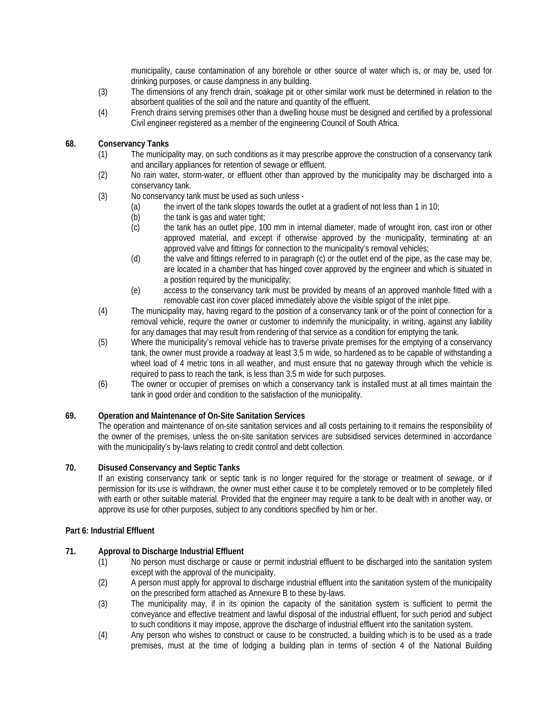municipality, cause contamination of any borehole or other source of water which is, or may be, used for drinking purposes, or cause dampness in any building.

- (3) The dimensions of any french drain, soakage pit or other similar work must be determined in relation to the absorbent qualities of the soil and the nature and quantity of the effluent.
- (4) French drains serving premises other than a dwelling house must be designed and certified by a professional Civil engineer registered as a member of the engineering Council of South Africa.

### **68. Conservancy Tanks**

- (1) The municipality may, on such conditions as it may prescribe approve the construction of a conservancy tank and ancillary appliances for retention of sewage or effluent.
- (2) No rain water, storm-water, or effluent other than approved by the municipality may be discharged into a conservancy tank.
- (3) No conservancy tank must be used as such unless
	- (a) the invert of the tank slopes towards the outlet at a gradient of not less than 1 in 10;<br>(b) the tank is gas and water tight;
	- the tank is gas and water tight;
	- (c) the tank has an outlet pipe, 100 mm in internal diameter, made of wrought iron, cast iron or other approved material, and except if otherwise approved by the municipality, terminating at an approved valve and fittings for connection to the municipality's removal vehicles;
	- (d) the valve and fittings referred to in paragraph (c) or the outlet end of the pipe, as the case may be, are located in a chamber that has hinged cover approved by the engineer and which is situated in a position required by the municipality;
	- (e) access to the conservancy tank must be provided by means of an approved manhole fitted with a removable cast iron cover placed immediately above the visible spigot of the inlet pipe.
- (4) The municipality may, having regard to the position of a conservancy tank or of the point of connection for a removal vehicle, require the owner or customer to indemnify the municipality, in writing, against any liability for any damages that may result from rendering of that service as a condition for emptying the tank.
- (5) Where the municipality's removal vehicle has to traverse private premises for the emptying of a conservancy tank, the owner must provide a roadway at least 3,5 m wide, so hardened as to be capable of withstanding a wheel load of 4 metric tons in all weather, and must ensure that no gateway through which the vehicle is required to pass to reach the tank, is less than 3,5 m wide for such purposes.
- (6) The owner or occupier of premises on which a conservancy tank is installed must at all times maintain the tank in good order and condition to the satisfaction of the municipality.

### **69. Operation and Maintenance of On-Site Sanitation Services**

The operation and maintenance of on-site sanitation services and all costs pertaining to it remains the responsibility of the owner of the premises, unless the on-site sanitation services are subsidised services determined in accordance with the municipality's by-laws relating to credit control and debt collection.

### **70. Disused Conservancy and Septic Tanks**

If an existing conservancy tank or septic tank is no longer required for the storage or treatment of sewage, or if permission for its use is withdrawn, the owner must either cause it to be completely removed or to be completely filled with earth or other suitable material. Provided that the engineer may require a tank to be dealt with in another way, or approve its use for other purposes, subject to any conditions specified by him or her.

#### **Part 6: Industrial Effluent**

## **71. Approval to Discharge Industrial Effluent**

- (1) No person must discharge or cause or permit industrial effluent to be discharged into the sanitation system except with the approval of the municipality.
- (2) A person must apply for approval to discharge industrial effluent into the sanitation system of the municipality on the prescribed form attached as Annexure B to these by-laws.
- (3) The municipality may, if in its opinion the capacity of the sanitation system is sufficient to permit the conveyance and effective treatment and lawful disposal of the industrial effluent, for such period and subject to such conditions it may impose, approve the discharge of industrial effluent into the sanitation system.
- (4) Any person who wishes to construct or cause to be constructed, a building which is to be used as a trade premises, must at the time of lodging a building plan in terms of section 4 of the National Building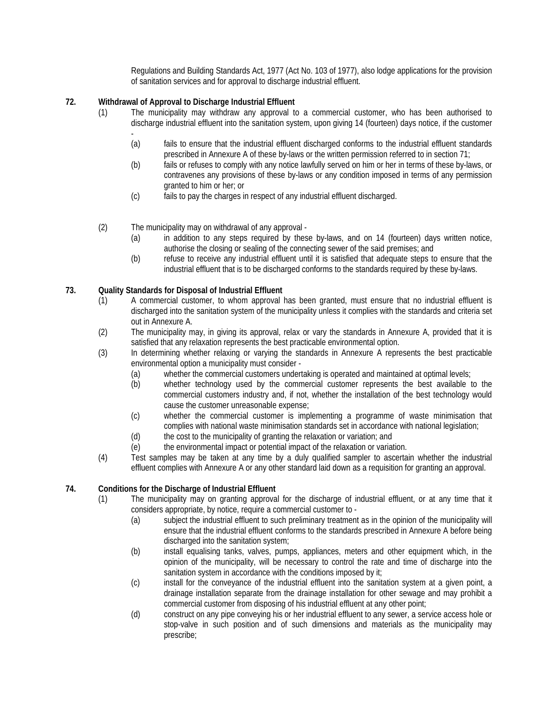Regulations and Building Standards Act, 1977 (Act No. 103 of 1977), also lodge applications for the provision of sanitation services and for approval to discharge industrial effluent.

# **72. Withdrawal of Approval to Discharge Industrial Effluent**

- (1) The municipality may withdraw any approval to a commercial customer, who has been authorised to discharge industrial effluent into the sanitation system, upon giving 14 (fourteen) days notice, if the customer
	- (a) fails to ensure that the industrial effluent discharged conforms to the industrial effluent standards prescribed in Annexure A of these by-laws or the written permission referred to in section 71;
	- (b) fails or refuses to comply with any notice lawfully served on him or her in terms of these by-laws, or contravenes any provisions of these by-laws or any condition imposed in terms of any permission granted to him or her; or
	- (c) fails to pay the charges in respect of any industrial effluent discharged.
- (2) The municipality may on withdrawal of any approval
	- (a) in addition to any steps required by these by-laws, and on 14 (fourteen) days written notice, authorise the closing or sealing of the connecting sewer of the said premises; and
	- (b) refuse to receive any industrial effluent until it is satisfied that adequate steps to ensure that the industrial effluent that is to be discharged conforms to the standards required by these by-laws.

## **73. Quality Standards for Disposal of Industrial Effluent**

- (1) A commercial customer, to whom approval has been granted, must ensure that no industrial effluent is discharged into the sanitation system of the municipality unless it complies with the standards and criteria set out in Annexure A.
- (2) The municipality may, in giving its approval, relax or vary the standards in Annexure A, provided that it is satisfied that any relaxation represents the best practicable environmental option.
- (3) In determining whether relaxing or varying the standards in Annexure A represents the best practicable environmental option a municipality must consider -
	- (a) whether the commercial customers undertaking is operated and maintained at optimal levels;
	- (b) whether technology used by the commercial customer represents the best available to the commercial customers industry and, if not, whether the installation of the best technology would cause the customer unreasonable expense;
	- (c) whether the commercial customer is implementing a programme of waste minimisation that complies with national waste minimisation standards set in accordance with national legislation;
	- (d) the cost to the municipality of granting the relaxation or variation; and
	- (e) the environmental impact or potential impact of the relaxation or variation.
- (4) Test samples may be taken at any time by a duly qualified sampler to ascertain whether the industrial effluent complies with Annexure A or any other standard laid down as a requisition for granting an approval.

## **74. Conditions for the Discharge of Industrial Effluent**

- (1) The municipality may on granting approval for the discharge of industrial effluent, or at any time that it considers appropriate, by notice, require a commercial customer to -
	- (a) subject the industrial effluent to such preliminary treatment as in the opinion of the municipality will ensure that the industrial effluent conforms to the standards prescribed in Annexure A before being discharged into the sanitation system;
	- (b) install equalising tanks, valves, pumps, appliances, meters and other equipment which, in the opinion of the municipality, will be necessary to control the rate and time of discharge into the sanitation system in accordance with the conditions imposed by it;
	- (c) install for the conveyance of the industrial effluent into the sanitation system at a given point, a drainage installation separate from the drainage installation for other sewage and may prohibit a commercial customer from disposing of his industrial effluent at any other point;
	- (d) construct on any pipe conveying his or her industrial effluent to any sewer, a service access hole or stop-valve in such position and of such dimensions and materials as the municipality may prescribe;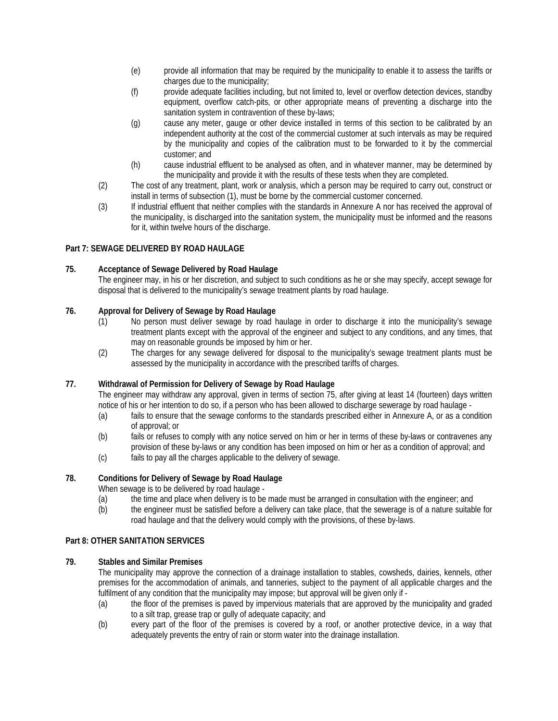- (e) provide all information that may be required by the municipality to enable it to assess the tariffs or charges due to the municipality;
- (f) provide adequate facilities including, but not limited to, level or overflow detection devices, standby equipment, overflow catch-pits, or other appropriate means of preventing a discharge into the sanitation system in contravention of these by-laws;
- (g) cause any meter, gauge or other device installed in terms of this section to be calibrated by an independent authority at the cost of the commercial customer at such intervals as may be required by the municipality and copies of the calibration must to be forwarded to it by the commercial customer; and
- (h) cause industrial effluent to be analysed as often, and in whatever manner, may be determined by the municipality and provide it with the results of these tests when they are completed.
- (2) The cost of any treatment, plant, work or analysis, which a person may be required to carry out, construct or install in terms of subsection (1), must be borne by the commercial customer concerned.
- (3) If industrial effluent that neither complies with the standards in Annexure A nor has received the approval of the municipality, is discharged into the sanitation system, the municipality must be informed and the reasons for it, within twelve hours of the discharge.

### **Part 7: SEWAGE DELIVERED BY ROAD HAULAGE**

### **75. Acceptance of Sewage Delivered by Road Haulage**

The engineer may, in his or her discretion, and subject to such conditions as he or she may specify, accept sewage for disposal that is delivered to the municipality's sewage treatment plants by road haulage.

## **76. Approval for Delivery of Sewage by Road Haulage**

- (1) No person must deliver sewage by road haulage in order to discharge it into the municipality's sewage treatment plants except with the approval of the engineer and subject to any conditions, and any times, that may on reasonable grounds be imposed by him or her.
- (2) The charges for any sewage delivered for disposal to the municipality's sewage treatment plants must be assessed by the municipality in accordance with the prescribed tariffs of charges.

#### **77. Withdrawal of Permission for Delivery of Sewage by Road Haulage**

The engineer may withdraw any approval, given in terms of section 75, after giving at least 14 (fourteen) days written notice of his or her intention to do so, if a person who has been allowed to discharge sewerage by road haulage -

- (a) fails to ensure that the sewage conforms to the standards prescribed either in Annexure A, or as a condition of approval; or
- (b) fails or refuses to comply with any notice served on him or her in terms of these by-laws or contravenes any provision of these by-laws or any condition has been imposed on him or her as a condition of approval; and
- (c) fails to pay all the charges applicable to the delivery of sewage.

#### **78. Conditions for Delivery of Sewage by Road Haulage**

When sewage is to be delivered by road haulage -

- (a) the time and place when delivery is to be made must be arranged in consultation with the engineer; and
- (b) the engineer must be satisfied before a delivery can take place, that the sewerage is of a nature suitable for road haulage and that the delivery would comply with the provisions, of these by-laws.

### **Part 8: OTHER SANITATION SERVICES**

### **79. Stables and Similar Premises**

The municipality may approve the connection of a drainage installation to stables, cowsheds, dairies, kennels, other premises for the accommodation of animals, and tanneries, subject to the payment of all applicable charges and the fulfilment of any condition that the municipality may impose; but approval will be given only if -

- (a) the floor of the premises is paved by impervious materials that are approved by the municipality and graded to a silt trap, grease trap or gully of adequate capacity; and
- (b) every part of the floor of the premises is covered by a roof, or another protective device, in a way that adequately prevents the entry of rain or storm water into the drainage installation.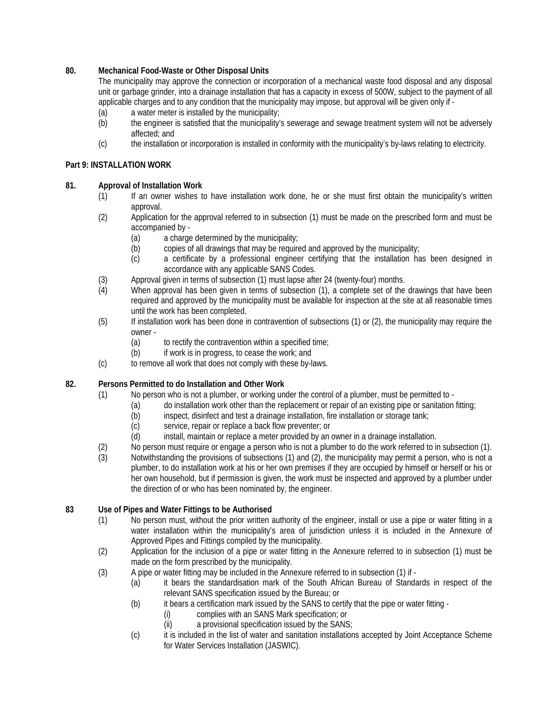# **80. Mechanical Food-Waste or Other Disposal Units**

The municipality may approve the connection or incorporation of a mechanical waste food disposal and any disposal unit or garbage grinder, into a drainage installation that has a capacity in excess of 500W, subject to the payment of all applicable charges and to any condition that the municipality may impose, but approval will be given only if -

- (a) a water meter is installed by the municipality;
- (b) the engineer is satisfied that the municipality's sewerage and sewage treatment system will not be adversely affected; and
- (c) the installation or incorporation is installed in conformity with the municipality's by-laws relating to electricity.

# **Part 9: INSTALLATION WORK**

## **81. Approval of Installation Work**

- (1) If an owner wishes to have installation work done, he or she must first obtain the municipality's written approval.
- (2) Application for the approval referred to in subsection (1) must be made on the prescribed form and must be accompanied by -
	- (a) a charge determined by the municipality;
	- (b) copies of all drawings that may be required and approved by the municipality;
	- (c) a certificate by a professional engineer certifying that the installation has been designed in accordance with any applicable SANS Codes.
- (3) Approval given in terms of subsection (1) must lapse after 24 (twenty-four) months.
- (4) When approval has been given in terms of subsection (1), a complete set of the drawings that have been required and approved by the municipality must be available for inspection at the site at all reasonable times until the work has been completed.
- (5) If installation work has been done in contravention of subsections (1) or (2), the municipality may require the owner -
	- (a) to rectify the contravention within a specified time;
	- (b) if work is in progress, to cease the work; and
- (c) to remove all work that does not comply with these by-laws.

## **82. Persons Permitted to do Installation and Other Work**

- (1) No person who is not a plumber, or working under the control of a plumber, must be permitted to
	- (a) do installation work other than the replacement or repair of an existing pipe or sanitation fitting;
	- (b) inspect, disinfect and test a drainage installation, fire installation or storage tank;<br>(c) service, repair or replace a back flow preventer; or
	- (c) service, repair or replace a back flow preventer; or (d) install, maintain or replace a meter provided by an
	- install, maintain or replace a meter provided by an owner in a drainage installation.
- (2) No person must require or engage a person who is not a plumber to do the work referred to in subsection (1).
- (3) Notwithstanding the provisions of subsections (1) and (2), the municipality may permit a person, who is not a plumber, to do installation work at his or her own premises if they are occupied by himself or herself or his or her own household, but if permission is given, the work must be inspected and approved by a plumber under the direction of or who has been nominated by, the engineer.

## **83 Use of Pipes and Water Fittings to be Authorised**

- (1) No person must, without the prior written authority of the engineer, install or use a pipe or water fitting in a water installation within the municipality's area of jurisdiction unless it is included in the Annexure of Approved Pipes and Fittings compiled by the municipality.
- (2) Application for the inclusion of a pipe or water fitting in the Annexure referred to in subsection (1) must be made on the form prescribed by the municipality.
- (3) A pipe or water fitting may be included in the Annexure referred to in subsection (1) if
	- (a) it bears the standardisation mark of the South African Bureau of Standards in respect of the relevant SANS specification issued by the Bureau; or
	- (b) it bears a certification mark issued by the SANS to certify that the pipe or water fitting
		- (i) complies with an SANS Mark specification; or
		- (ii) a provisional specification issued by the SANS;
	- (c) it is included in the list of water and sanitation installations accepted by Joint Acceptance Scheme for Water Services Installation (JASWIC).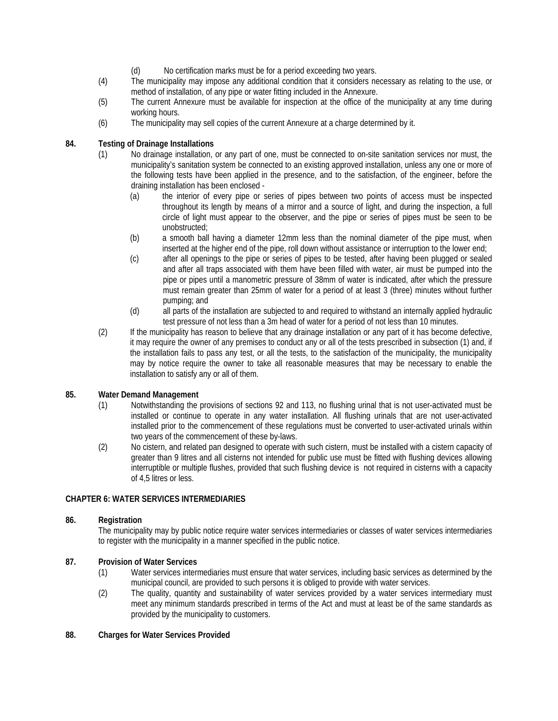- (d) No certification marks must be for a period exceeding two years.
- (4) The municipality may impose any additional condition that it considers necessary as relating to the use, or method of installation, of any pipe or water fitting included in the Annexure.
- (5) The current Annexure must be available for inspection at the office of the municipality at any time during working hours.
- (6) The municipality may sell copies of the current Annexure at a charge determined by it.

### **84. Testing of Drainage Installations**

- (1) No drainage installation, or any part of one, must be connected to on-site sanitation services nor must, the municipality's sanitation system be connected to an existing approved installation, unless any one or more of the following tests have been applied in the presence, and to the satisfaction, of the engineer, before the draining installation has been enclosed -
	- (a) the interior of every pipe or series of pipes between two points of access must be inspected throughout its length by means of a mirror and a source of light, and during the inspection, a full circle of light must appear to the observer, and the pipe or series of pipes must be seen to be unobstructed;
	- (b) a smooth ball having a diameter 12mm less than the nominal diameter of the pipe must, when inserted at the higher end of the pipe, roll down without assistance or interruption to the lower end;
	- (c) after all openings to the pipe or series of pipes to be tested, after having been plugged or sealed and after all traps associated with them have been filled with water, air must be pumped into the pipe or pipes until a manometric pressure of 38mm of water is indicated, after which the pressure must remain greater than 25mm of water for a period of at least 3 (three) minutes without further pumping; and
	- (d) all parts of the installation are subjected to and required to withstand an internally applied hydraulic test pressure of not less than a 3m head of water for a period of not less than 10 minutes.
- (2) If the municipality has reason to believe that any drainage installation or any part of it has become defective, it may require the owner of any premises to conduct any or all of the tests prescribed in subsection (1) and, if the installation fails to pass any test, or all the tests, to the satisfaction of the municipality, the municipality may by notice require the owner to take all reasonable measures that may be necessary to enable the installation to satisfy any or all of them.

#### **85. Water Demand Management**

- (1) Notwithstanding the provisions of sections 92 and 113, no flushing urinal that is not user-activated must be installed or continue to operate in any water installation. All flushing urinals that are not user-activated installed prior to the commencement of these regulations must be converted to user-activated urinals within two years of the commencement of these by-laws.
- (2) No cistern, and related pan designed to operate with such cistern, must be installed with a cistern capacity of greater than 9 litres and all cisterns not intended for public use must be fitted with flushing devices allowing interruptible or multiple flushes, provided that such flushing device is not required in cisterns with a capacity of 4,5 litres or less.

#### **CHAPTER 6: WATER SERVICES INTERMEDIARIES**

#### **86. Registration**

The municipality may by public notice require water services intermediaries or classes of water services intermediaries to register with the municipality in a manner specified in the public notice.

## **87. Provision of Water Services**

- (1) Water services intermediaries must ensure that water services, including basic services as determined by the municipal council, are provided to such persons it is obliged to provide with water services.
- (2) The quality, quantity and sustainability of water services provided by a water services intermediary must meet any minimum standards prescribed in terms of the Act and must at least be of the same standards as provided by the municipality to customers.

#### **88. Charges for Water Services Provided**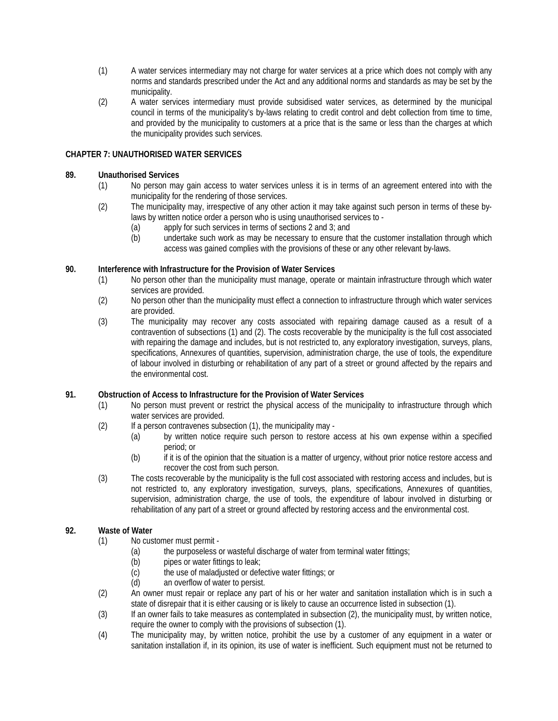- (1) A water services intermediary may not charge for water services at a price which does not comply with any norms and standards prescribed under the Act and any additional norms and standards as may be set by the municipality.
- (2) A water services intermediary must provide subsidised water services, as determined by the municipal council in terms of the municipality's by-laws relating to credit control and debt collection from time to time, and provided by the municipality to customers at a price that is the same or less than the charges at which the municipality provides such services.

### **CHAPTER 7: UNAUTHORISED WATER SERVICES**

### **89. Unauthorised Services**

- (1) No person may gain access to water services unless it is in terms of an agreement entered into with the municipality for the rendering of those services.
- (2) The municipality may, irrespective of any other action it may take against such person in terms of these bylaws by written notice order a person who is using unauthorised services to -
	- (a) apply for such services in terms of sections 2 and 3; and
	- (b) undertake such work as may be necessary to ensure that the customer installation through which access was gained complies with the provisions of these or any other relevant by-laws.

### **90. Interference with Infrastructure for the Provision of Water Services**

- (1) No person other than the municipality must manage, operate or maintain infrastructure through which water services are provided.
- (2) No person other than the municipality must effect a connection to infrastructure through which water services are provided.
- (3) The municipality may recover any costs associated with repairing damage caused as a result of a contravention of subsections (1) and (2). The costs recoverable by the municipality is the full cost associated with repairing the damage and includes, but is not restricted to, any exploratory investigation, surveys, plans, specifications, Annexures of quantities, supervision, administration charge, the use of tools, the expenditure of labour involved in disturbing or rehabilitation of any part of a street or ground affected by the repairs and the environmental cost.

#### **91. Obstruction of Access to Infrastructure for the Provision of Water Services**

- (1) No person must prevent or restrict the physical access of the municipality to infrastructure through which water services are provided.
- (2) If a person contravenes subsection (1), the municipality may
	- (a) by written notice require such person to restore access at his own expense within a specified period; or
	- (b) if it is of the opinion that the situation is a matter of urgency, without prior notice restore access and recover the cost from such person.
- (3) The costs recoverable by the municipality is the full cost associated with restoring access and includes, but is not restricted to, any exploratory investigation, surveys, plans, specifications, Annexures of quantities, supervision, administration charge, the use of tools, the expenditure of labour involved in disturbing or rehabilitation of any part of a street or ground affected by restoring access and the environmental cost.

## **92. Waste of Water**

- (1) No customer must permit
	- (a) the purposeless or wasteful discharge of water from terminal water fittings;<br>(b) pipes or water fittings to leak;
	- pipes or water fittings to leak;
	- (c) the use of maladjusted or defective water fittings; or
	- (d) an overflow of water to persist.
- (2) An owner must repair or replace any part of his or her water and sanitation installation which is in such a state of disrepair that it is either causing or is likely to cause an occurrence listed in subsection (1).
- (3) If an owner fails to take measures as contemplated in subsection (2), the municipality must, by written notice, require the owner to comply with the provisions of subsection (1).
- (4) The municipality may, by written notice, prohibit the use by a customer of any equipment in a water or sanitation installation if, in its opinion, its use of water is inefficient. Such equipment must not be returned to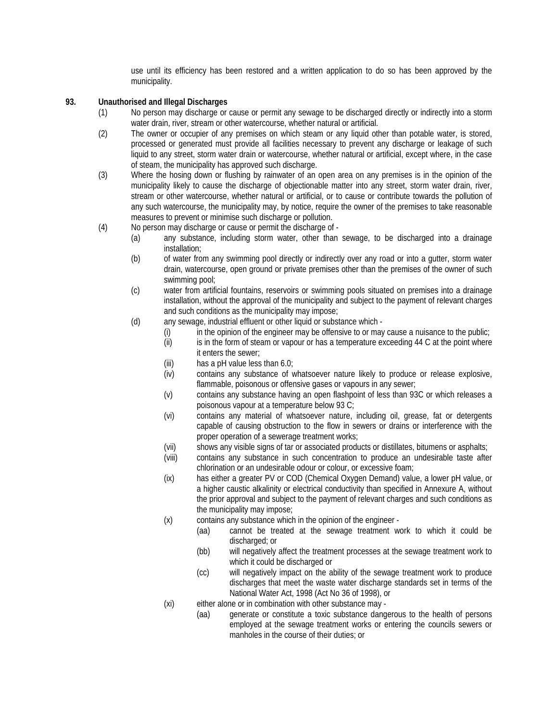use until its efficiency has been restored and a written application to do so has been approved by the municipality.

### **93. Unauthorised and Illegal Discharges**

- (1) No person may discharge or cause or permit any sewage to be discharged directly or indirectly into a storm water drain, river, stream or other watercourse, whether natural or artificial.
- (2) The owner or occupier of any premises on which steam or any liquid other than potable water, is stored, processed or generated must provide all facilities necessary to prevent any discharge or leakage of such liquid to any street, storm water drain or watercourse, whether natural or artificial, except where, in the case of steam, the municipality has approved such discharge.
- (3) Where the hosing down or flushing by rainwater of an open area on any premises is in the opinion of the municipality likely to cause the discharge of objectionable matter into any street, storm water drain, river, stream or other watercourse, whether natural or artificial, or to cause or contribute towards the pollution of any such watercourse, the municipality may, by notice, require the owner of the premises to take reasonable measures to prevent or minimise such discharge or pollution.
- (4) No person may discharge or cause or permit the discharge of
	- (a) any substance, including storm water, other than sewage, to be discharged into a drainage installation;
	- (b) of water from any swimming pool directly or indirectly over any road or into a gutter, storm water drain, watercourse, open ground or private premises other than the premises of the owner of such swimming pool;
	- (c) water from artificial fountains, reservoirs or swimming pools situated on premises into a drainage installation, without the approval of the municipality and subject to the payment of relevant charges and such conditions as the municipality may impose;
	- (d) any sewage, industrial effluent or other liquid or substance which
		- (i) in the opinion of the engineer may be offensive to or may cause a nuisance to the public;
		- (ii) is in the form of steam or vapour or has a temperature exceeding 44 C at the point where it enters the sewer;
		- (iii) has a pH value less than  $6.0$ ;
		- (iv) contains any substance of whatsoever nature likely to produce or release explosive, flammable, poisonous or offensive gases or vapours in any sewer;
		- (v) contains any substance having an open flashpoint of less than 93C or which releases a poisonous vapour at a temperature below 93 C;
		- (vi) contains any material of whatsoever nature, including oil, grease, fat or detergents capable of causing obstruction to the flow in sewers or drains or interference with the proper operation of a sewerage treatment works;
		- (vii) shows any visible signs of tar or associated products or distillates, bitumens or asphalts;
		- (viii) contains any substance in such concentration to produce an undesirable taste after chlorination or an undesirable odour or colour, or excessive foam;
		- (ix) has either a greater PV or COD (Chemical Oxygen Demand) value, a lower pH value, or a higher caustic alkalinity or electrical conductivity than specified in Annexure A, without the prior approval and subject to the payment of relevant charges and such conditions as the municipality may impose;
		- (x) contains any substance which in the opinion of the engineer
			- (aa) cannot be treated at the sewage treatment work to which it could be discharged; or
			- (bb) will negatively affect the treatment processes at the sewage treatment work to which it could be discharged or
			- (cc) will negatively impact on the ability of the sewage treatment work to produce discharges that meet the waste water discharge standards set in terms of the National Water Act, 1998 (Act No 36 of 1998), or
		- (xi) either alone or in combination with other substance may
			- (aa) generate or constitute a toxic substance dangerous to the health of persons employed at the sewage treatment works or entering the councils sewers or manholes in the course of their duties; or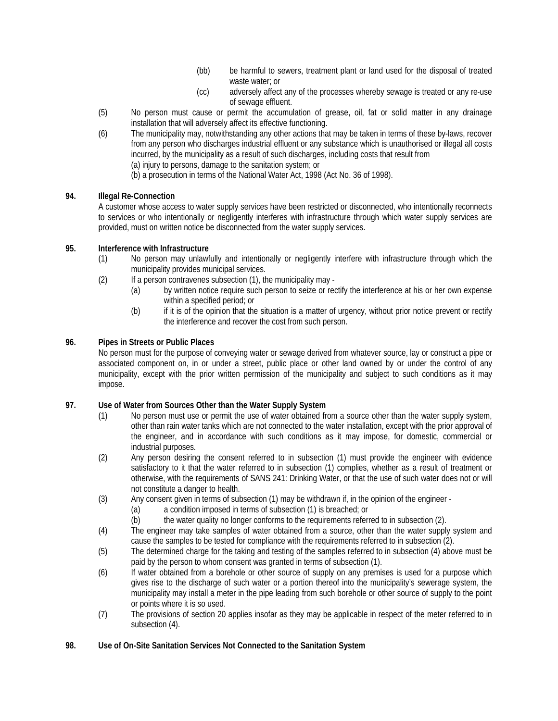- (bb) be harmful to sewers, treatment plant or land used for the disposal of treated waste water; or
- (cc) adversely affect any of the processes whereby sewage is treated or any re-use of sewage effluent.
- (5) No person must cause or permit the accumulation of grease, oil, fat or solid matter in any drainage installation that will adversely affect its effective functioning.
- (6) The municipality may, notwithstanding any other actions that may be taken in terms of these by-laws, recover from any person who discharges industrial effluent or any substance which is unauthorised or illegal all costs incurred, by the municipality as a result of such discharges, including costs that result from (a) injury to persons, damage to the sanitation system; or
	- (b) a prosecution in terms of the National Water Act, 1998 (Act No. 36 of 1998).

# **94. Illegal Re-Connection**

A customer whose access to water supply services have been restricted or disconnected, who intentionally reconnects to services or who intentionally or negligently interferes with infrastructure through which water supply services are provided, must on written notice be disconnected from the water supply services.

## **95. Interference with Infrastructure**

- (1) No person may unlawfully and intentionally or negligently interfere with infrastructure through which the municipality provides municipal services.
- (2) If a person contravenes subsection (1), the municipality may
	- (a) by written notice require such person to seize or rectify the interference at his or her own expense within a specified period; or
	- (b) if it is of the opinion that the situation is a matter of urgency, without prior notice prevent or rectify the interference and recover the cost from such person.

## **96. Pipes in Streets or Public Places**

No person must for the purpose of conveying water or sewage derived from whatever source, lay or construct a pipe or associated component on, in or under a street, public place or other land owned by or under the control of any municipality, except with the prior written permission of the municipality and subject to such conditions as it may impose.

## **97. Use of Water from Sources Other than the Water Supply System**

- (1) No person must use or permit the use of water obtained from a source other than the water supply system, other than rain water tanks which are not connected to the water installation, except with the prior approval of the engineer, and in accordance with such conditions as it may impose, for domestic, commercial or industrial purposes.
- (2) Any person desiring the consent referred to in subsection (1) must provide the engineer with evidence satisfactory to it that the water referred to in subsection (1) complies, whether as a result of treatment or otherwise, with the requirements of SANS 241: Drinking Water, or that the use of such water does not or will not constitute a danger to health.
- (3) Any consent given in terms of subsection (1) may be withdrawn if, in the opinion of the engineer
	- (a) a condition imposed in terms of subsection (1) is breached; or
	- (b) the water quality no longer conforms to the requirements referred to in subsection (2).
- (4) The engineer may take samples of water obtained from a source, other than the water supply system and cause the samples to be tested for compliance with the requirements referred to in subsection (2).
- (5) The determined charge for the taking and testing of the samples referred to in subsection (4) above must be paid by the person to whom consent was granted in terms of subsection (1).
- (6) If water obtained from a borehole or other source of supply on any premises is used for a purpose which gives rise to the discharge of such water or a portion thereof into the municipality's sewerage system, the municipality may install a meter in the pipe leading from such borehole or other source of supply to the point or points where it is so used.
- (7) The provisions of section 20 applies insofar as they may be applicable in respect of the meter referred to in subsection (4).

## **98. Use of On-Site Sanitation Services Not Connected to the Sanitation System**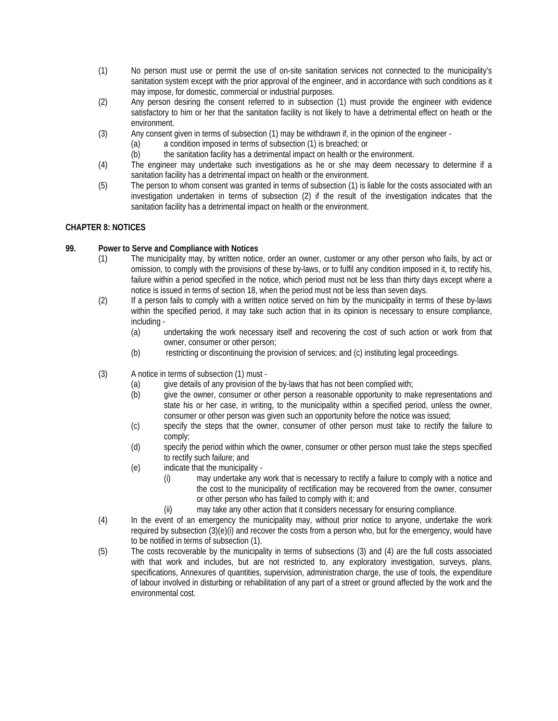- (1) No person must use or permit the use of on-site sanitation services not connected to the municipality's sanitation system except with the prior approval of the engineer, and in accordance with such conditions as it may impose, for domestic, commercial or industrial purposes.
- (2) Any person desiring the consent referred to in subsection (1) must provide the engineer with evidence satisfactory to him or her that the sanitation facility is not likely to have a detrimental effect on heath or the environment.
- (3) Any consent given in terms of subsection (1) may be withdrawn if, in the opinion of the engineer
	- (a) a condition imposed in terms of subsection (1) is breached; or
		- (b) the sanitation facility has a detrimental impact on health or the environment.
- (4) The engineer may undertake such investigations as he or she may deem necessary to determine if a sanitation facility has a detrimental impact on health or the environment.
- (5) The person to whom consent was granted in terms of subsection (1) is liable for the costs associated with an investigation undertaken in terms of subsection (2) if the result of the investigation indicates that the sanitation facility has a detrimental impact on health or the environment.

# **CHAPTER 8: NOTICES**

### **99. Power to Serve and Compliance with Notices**

- (1) The municipality may, by written notice, order an owner, customer or any other person who fails, by act or omission, to comply with the provisions of these by-laws, or to fulfil any condition imposed in it, to rectify his, failure within a period specified in the notice, which period must not be less than thirty days except where a notice is issued in terms of section 18, when the period must not be less than seven days.
- (2) If a person fails to comply with a written notice served on him by the municipality in terms of these by-laws within the specified period, it may take such action that in its opinion is necessary to ensure compliance, including -
	- (a) undertaking the work necessary itself and recovering the cost of such action or work from that owner, consumer or other person;
	- (b) restricting or discontinuing the provision of services; and (c) instituting legal proceedings.
- (3) A notice in terms of subsection (1) must
	- (a) give details of any provision of the by-laws that has not been complied with;
	- (b) give the owner, consumer or other person a reasonable opportunity to make representations and state his or her case, in writing, to the municipality within a specified period, unless the owner, consumer or other person was given such an opportunity before the notice was issued;
	- (c) specify the steps that the owner, consumer of other person must take to rectify the failure to comply;
	- (d) specify the period within which the owner, consumer or other person must take the steps specified to rectify such failure; and
	- (e) indicate that the municipality
		- (i) may undertake any work that is necessary to rectify a failure to comply with a notice and the cost to the municipality of rectification may be recovered from the owner, consumer or other person who has failed to comply with it; and
		- (ii) may take any other action that it considers necessary for ensuring compliance.
- (4) In the event of an emergency the municipality may, without prior notice to anyone, undertake the work required by subsection (3)(e)(i) and recover the costs from a person who, but for the emergency, would have to be notified in terms of subsection (1).
- (5) The costs recoverable by the municipality in terms of subsections (3) and (4) are the full costs associated with that work and includes, but are not restricted to, any exploratory investigation, surveys, plans, specifications, Annexures of quantities, supervision, administration charge, the use of tools, the expenditure of labour involved in disturbing or rehabilitation of any part of a street or ground affected by the work and the environmental cost.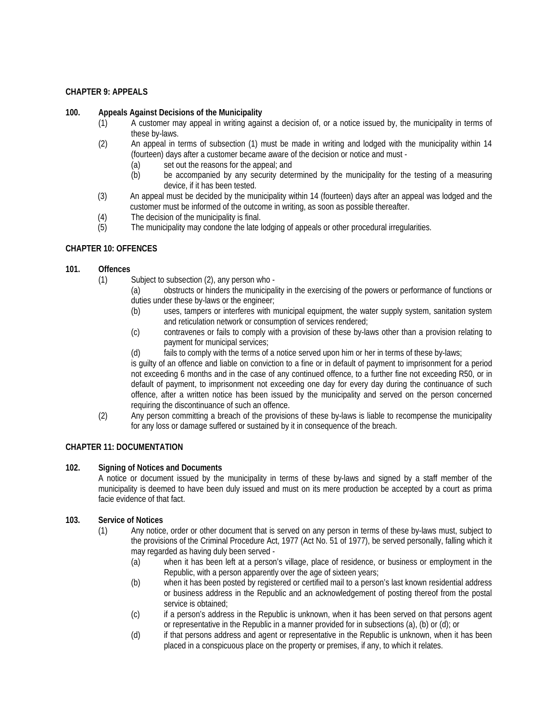### **CHAPTER 9: APPEALS**

### **100. Appeals Against Decisions of the Municipality**

- (1) A customer may appeal in writing against a decision of, or a notice issued by, the municipality in terms of these by-laws.
- (2) An appeal in terms of subsection (1) must be made in writing and lodged with the municipality within 14 (fourteen) days after a customer became aware of the decision or notice and must -
	- (a) set out the reasons for the appeal; and
	- (b) be accompanied by any security determined by the municipality for the testing of a measuring device, if it has been tested.
- (3) An appeal must be decided by the municipality within 14 (fourteen) days after an appeal was lodged and the customer must be informed of the outcome in writing, as soon as possible thereafter.
- (4) The decision of the municipality is final.
- (5) The municipality may condone the late lodging of appeals or other procedural irregularities.

### **CHAPTER 10: OFFENCES**

### **101. Offences**

- (1) Subject to subsection (2), any person who
	- (a) obstructs or hinders the municipality in the exercising of the powers or performance of functions or duties under these by-laws or the engineer;
	- (b) uses, tampers or interferes with municipal equipment, the water supply system, sanitation system and reticulation network or consumption of services rendered;
	- (c) contravenes or fails to comply with a provision of these by-laws other than a provision relating to payment for municipal services;
	- (d) fails to comply with the terms of a notice served upon him or her in terms of these by-laws;

is guilty of an offence and liable on conviction to a fine or in default of payment to imprisonment for a period not exceeding 6 months and in the case of any continued offence, to a further fine not exceeding R50, or in default of payment, to imprisonment not exceeding one day for every day during the continuance of such offence, after a written notice has been issued by the municipality and served on the person concerned requiring the discontinuance of such an offence.

(2) Any person committing a breach of the provisions of these by-laws is liable to recompense the municipality for any loss or damage suffered or sustained by it in consequence of the breach.

#### **CHAPTER 11: DOCUMENTATION**

#### **102. Signing of Notices and Documents**

A notice or document issued by the municipality in terms of these by-laws and signed by a staff member of the municipality is deemed to have been duly issued and must on its mere production be accepted by a court as prima facie evidence of that fact.

#### **103. Service of Notices**

- (1) Any notice, order or other document that is served on any person in terms of these by-laws must, subject to the provisions of the Criminal Procedure Act, 1977 (Act No. 51 of 1977), be served personally, falling which it may regarded as having duly been served -
	- (a) when it has been left at a person's village, place of residence, or business or employment in the Republic, with a person apparently over the age of sixteen years;
	- (b) when it has been posted by registered or certified mail to a person's last known residential address or business address in the Republic and an acknowledgement of posting thereof from the postal service is obtained;
	- (c) if a person's address in the Republic is unknown, when it has been served on that persons agent or representative in the Republic in a manner provided for in subsections (a), (b) or (d); or
	- (d) if that persons address and agent or representative in the Republic is unknown, when it has been placed in a conspicuous place on the property or premises, if any, to which it relates.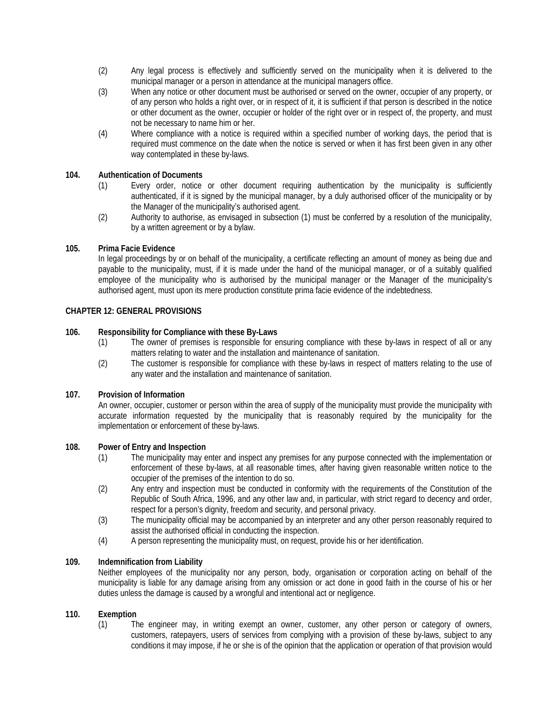- (2) Any legal process is effectively and sufficiently served on the municipality when it is delivered to the municipal manager or a person in attendance at the municipal managers office.
- (3) When any notice or other document must be authorised or served on the owner, occupier of any property, or of any person who holds a right over, or in respect of it, it is sufficient if that person is described in the notice or other document as the owner, occupier or holder of the right over or in respect of, the property, and must not be necessary to name him or her.
- (4) Where compliance with a notice is required within a specified number of working days, the period that is required must commence on the date when the notice is served or when it has first been given in any other way contemplated in these by-laws.

### **104. Authentication of Documents**

- (1) Every order, notice or other document requiring authentication by the municipality is sufficiently authenticated, if it is signed by the municipal manager, by a duly authorised officer of the municipality or by the Manager of the municipality's authorised agent.
- (2) Authority to authorise, as envisaged in subsection (1) must be conferred by a resolution of the municipality, by a written agreement or by a bylaw.

#### **105. Prima Facie Evidence**

In legal proceedings by or on behalf of the municipality, a certificate reflecting an amount of money as being due and payable to the municipality, must, if it is made under the hand of the municipal manager, or of a suitably qualified employee of the municipality who is authorised by the municipal manager or the Manager of the municipality's authorised agent, must upon its mere production constitute prima facie evidence of the indebtedness.

### **CHAPTER 12: GENERAL PROVISIONS**

#### **106. Responsibility for Compliance with these By-Laws**

- (1) The owner of premises is responsible for ensuring compliance with these by-laws in respect of all or any matters relating to water and the installation and maintenance of sanitation.
- (2) The customer is responsible for compliance with these by-laws in respect of matters relating to the use of any water and the installation and maintenance of sanitation.

#### **107. Provision of Information**

An owner, occupier, customer or person within the area of supply of the municipality must provide the municipality with accurate information requested by the municipality that is reasonably required by the municipality for the implementation or enforcement of these by-laws.

#### **108. Power of Entry and Inspection**

- (1) The municipality may enter and inspect any premises for any purpose connected with the implementation or enforcement of these by-laws, at all reasonable times, after having given reasonable written notice to the occupier of the premises of the intention to do so.
- (2) Any entry and inspection must be conducted in conformity with the requirements of the Constitution of the Republic of South Africa, 1996, and any other law and, in particular, with strict regard to decency and order, respect for a person's dignity, freedom and security, and personal privacy.
- (3) The municipality official may be accompanied by an interpreter and any other person reasonably required to assist the authorised official in conducting the inspection.
- (4) A person representing the municipality must, on request, provide his or her identification.

### **109. Indemnification from Liability**

Neither employees of the municipality nor any person, body, organisation or corporation acting on behalf of the municipality is liable for any damage arising from any omission or act done in good faith in the course of his or her duties unless the damage is caused by a wrongful and intentional act or negligence.

#### **110. Exemption**

(1) The engineer may, in writing exempt an owner, customer, any other person or category of owners, customers, ratepayers, users of services from complying with a provision of these by-laws, subject to any conditions it may impose, if he or she is of the opinion that the application or operation of that provision would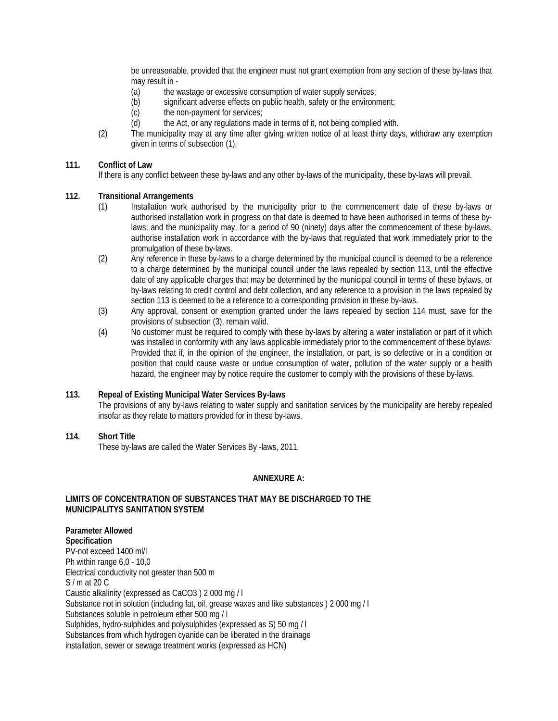be unreasonable, provided that the engineer must not grant exemption from any section of these by-laws that may result in -

- (a) the wastage or excessive consumption of water supply services;
- (b) significant adverse effects on public health, safety or the environment;<br>(c) the non-payment for services:
- the non-payment for services;
- (d) the Act, or any regulations made in terms of it, not being complied with.
- (2) The municipality may at any time after giving written notice of at least thirty days, withdraw any exemption given in terms of subsection (1).

### **111. Conflict of Law**

If there is any conflict between these by-laws and any other by-laws of the municipality, these by-laws will prevail.

#### **112. Transitional Arrangements**

- (1) Installation work authorised by the municipality prior to the commencement date of these by-laws or authorised installation work in progress on that date is deemed to have been authorised in terms of these bylaws; and the municipality may, for a period of 90 (ninety) days after the commencement of these by-laws, authorise installation work in accordance with the by-laws that regulated that work immediately prior to the promulgation of these by-laws.
- (2) Any reference in these by-laws to a charge determined by the municipal council is deemed to be a reference to a charge determined by the municipal council under the laws repealed by section 113, until the effective date of any applicable charges that may be determined by the municipal council in terms of these bylaws, or by-laws relating to credit control and debt collection, and any reference to a provision in the laws repealed by section 113 is deemed to be a reference to a corresponding provision in these by-laws.
- (3) Any approval, consent or exemption granted under the laws repealed by section 114 must, save for the provisions of subsection (3), remain valid.
- (4) No customer must be required to comply with these by-laws by altering a water installation or part of it which was installed in conformity with any laws applicable immediately prior to the commencement of these bylaws: Provided that if, in the opinion of the engineer, the installation, or part, is so defective or in a condition or position that could cause waste or undue consumption of water, pollution of the water supply or a health hazard, the engineer may by notice require the customer to comply with the provisions of these by-laws.

#### **113. Repeal of Existing Municipal Water Services By-laws**

The provisions of any by-laws relating to water supply and sanitation services by the municipality are hereby repealed insofar as they relate to matters provided for in these by-laws.

# **114. Short Title** These by-laws are called the Water Services By -laws, 2011.

## **ANNEXURE A:**

#### **LIMITS OF CONCENTRATION OF SUBSTANCES THAT MAY BE DISCHARGED TO THE MUNICIPALITYS SANITATION SYSTEM**

**Parameter Allowed Specification** PV-not exceed 1400 ml/l Ph within range 6,0 - 10,0 Electrical conductivity not greater than 500 m S / m at 20 C Caustic alkalinity (expressed as CaCO3 ) 2 000 mg / l Substance not in solution (including fat, oil, grease waxes and like substances ) 2 000 mg / l Substances soluble in petroleum ether 500 mg / l Sulphides, hydro-sulphides and polysulphides (expressed as S) 50 mg / l Substances from which hydrogen cyanide can be liberated in the drainage installation, sewer or sewage treatment works (expressed as HCN)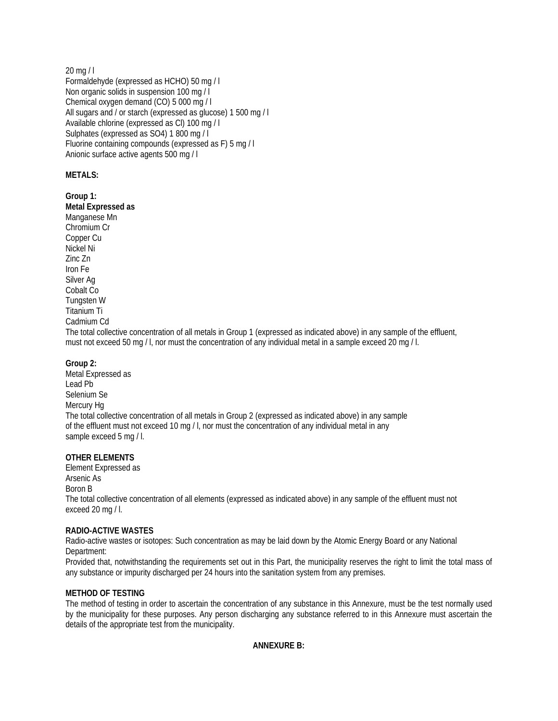20 mg / l Formaldehyde (expressed as HCHO) 50 mg / l Non organic solids in suspension 100 mg / l Chemical oxygen demand (CO) 5 000 mg / l All sugars and / or starch (expressed as glucose) 1 500 mg / l Available chlorine (expressed as Cl) 100 mg / l Sulphates (expressed as SO4) 1 800 mg / l Fluorine containing compounds (expressed as F) 5 mg / l Anionic surface active agents 500 mg / l

## **METALS:**

**Group 1: Metal Expressed as** Manganese Mn Chromium Cr Copper Cu Nickel Ni Zinc Zn Iron Fe Silver Ag Cobalt Co Tungsten W Titanium Ti Cadmium Cd The total collective concentration of all metals in Group 1 (expressed as indicated above) in any sample of the effluent, must not exceed 50 mg / l, nor must the concentration of any individual metal in a sample exceed 20 mg / l.

#### **Group 2:**

Metal Expressed as Lead Pb Selenium Se Mercury Hg The total collective concentration of all metals in Group 2 (expressed as indicated above) in any sample of the effluent must not exceed 10 mg / l, nor must the concentration of any individual metal in any sample exceed 5 mg / l.

## **OTHER ELEMENTS**

Element Expressed as Arsenic As Boron B The total collective concentration of all elements (expressed as indicated above) in any sample of the effluent must not exceed 20 mg / l.

#### **RADIO-ACTIVE WASTES**

Radio-active wastes or isotopes: Such concentration as may be laid down by the Atomic Energy Board or any National Department:

Provided that, notwithstanding the requirements set out in this Part, the municipality reserves the right to limit the total mass of any substance or impurity discharged per 24 hours into the sanitation system from any premises.

## **METHOD OF TESTING**

The method of testing in order to ascertain the concentration of any substance in this Annexure, must be the test normally used by the municipality for these purposes. Any person discharging any substance referred to in this Annexure must ascertain the details of the appropriate test from the municipality.

## **ANNEXURE B:**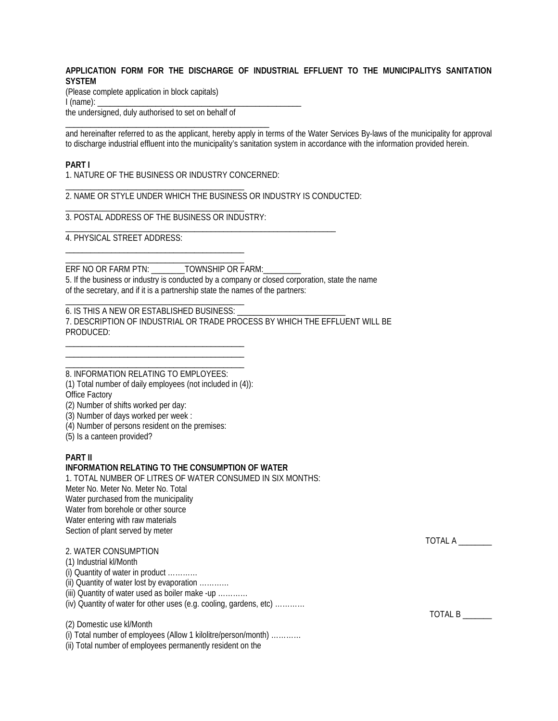### **APPLICATION FORM FOR THE DISCHARGE OF INDUSTRIAL EFFLUENT TO THE MUNICIPALITYS SANITATION SYSTEM**

(Please complete application in block capitals)  $I$  (name):

the undersigned, duly authorised to set on behalf of

\_\_\_\_\_\_\_\_\_\_\_\_\_\_\_\_\_\_\_\_\_\_\_\_\_\_\_\_\_\_\_\_\_\_\_\_\_\_\_\_\_\_\_

\_\_\_\_\_\_\_\_\_\_\_\_\_\_\_\_\_\_\_\_\_\_\_\_\_\_\_\_\_\_\_\_\_\_\_\_\_\_\_\_\_\_\_

and hereinafter referred to as the applicant, hereby apply in terms of the Water Services By-laws of the municipality for approval to discharge industrial effluent into the municipality's sanitation system in accordance with the information provided herein.

### **PART I**

1. NATURE OF THE BUSINESS OR INDUSTRY CONCERNED:

\_\_\_\_\_\_\_\_\_\_\_\_\_\_\_\_\_\_\_\_\_\_\_\_\_\_\_\_\_\_\_\_\_\_\_\_\_\_\_\_\_\_\_\_\_\_\_\_\_

2. NAME OR STYLE UNDER WHICH THE BUSINESS OR INDUSTRY IS CONDUCTED:

\_\_\_\_\_\_\_\_\_\_\_\_\_\_\_\_\_\_\_\_\_\_\_\_\_\_\_\_\_\_\_\_\_\_\_\_\_\_\_\_\_\_\_\_\_\_\_\_\_\_\_\_\_\_\_\_\_\_\_\_\_\_\_\_\_

\_\_\_\_\_\_\_\_\_\_\_\_\_\_\_\_\_\_\_\_\_\_\_\_\_\_\_\_\_\_\_\_\_\_\_\_\_\_\_\_\_\_\_ 3. POSTAL ADDRESS OF THE BUSINESS OR INDUSTRY:

4. PHYSICAL STREET ADDRESS:

\_\_\_\_\_\_\_\_\_\_\_\_\_\_\_\_\_\_\_\_\_\_\_\_\_\_\_\_\_\_\_\_\_\_\_\_\_\_\_\_\_\_\_ ERF NO OR FARM PTN: \_\_\_\_\_\_\_\_TOWNSHIP OR FARM:\_\_\_\_\_\_\_\_\_

5. If the business or industry is conducted by a company or closed corporation, state the name of the secretary, and if it is a partnership state the names of the partners:

\_\_\_\_\_\_\_\_\_\_\_\_\_\_\_\_\_\_\_\_\_\_\_\_\_\_\_\_\_\_\_\_\_\_\_\_\_\_\_\_\_\_\_ 6. IS THIS A NEW OR ESTABLISHED BUSINESS: \_\_\_\_\_\_\_\_\_\_\_\_\_\_\_\_\_\_\_\_\_\_\_\_\_\_ 7. DESCRIPTION OF INDUSTRIAL OR TRADE PROCESS BY WHICH THE EFFLUENT WILL BE PRODUCED:

\_\_\_\_\_\_\_\_\_\_\_\_\_\_\_\_\_\_\_\_\_\_\_\_\_\_\_\_\_\_\_\_\_\_\_\_\_\_\_\_\_\_\_ 8. INFORMATION RELATING TO EMPLOYEES:

\_\_\_\_\_\_\_\_\_\_\_\_\_\_\_\_\_\_\_\_\_\_\_\_\_\_\_\_\_\_\_\_\_\_\_\_\_\_\_\_\_\_\_ \_\_\_\_\_\_\_\_\_\_\_\_\_\_\_\_\_\_\_\_\_\_\_\_\_\_\_\_\_\_\_\_\_\_\_\_\_\_\_\_\_\_\_

(1) Total number of daily employees (not included in (4)):

Office Factory

(2) Number of shifts worked per day:

(3) Number of days worked per week :

(4) Number of persons resident on the premises:

(5) Is a canteen provided?

#### **PART II**

#### **INFORMATION RELATING TO THE CONSUMPTION OF WATER**

1. TOTAL NUMBER OF LITRES OF WATER CONSUMED IN SIX MONTHS: Meter No. Meter No. Meter No. Total Water purchased from the municipality Water from borehole or other source Water entering with raw materials Section of plant served by meter

| 2. WATER CONSUMPTION<br>(1) Industrial kl/Month<br>(i) Quantity of water in product<br>(ii) Quantity of water lost by evaporation<br>(iii) Quantity of water used as boiler make -up |
|--------------------------------------------------------------------------------------------------------------------------------------------------------------------------------------|
| (iv) Quantity of water for other uses (e.g. cooling, gardens, etc)<br>(2) Domestic use kl/Month                                                                                      |

(i) Total number of employees (Allow 1 kilolitre/person/month) …………

(ii) Total number of employees permanently resident on the

TOTAL B \_\_\_\_\_\_\_

TOTAL A \_\_\_\_\_\_\_\_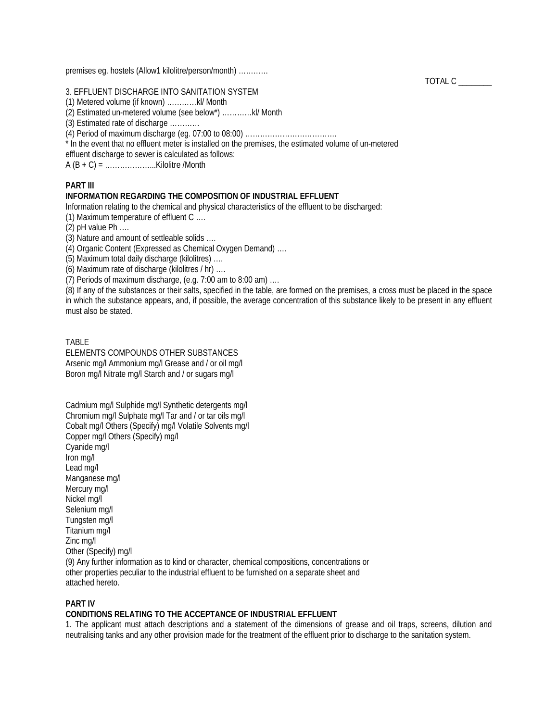premises eg. hostels (Allow1 kilolitre/person/month) …………

3. EFFLUENT DISCHARGE INTO SANITATION SYSTEM

(1) Metered volume (if known) …………kl/ Month

(2) Estimated un-metered volume (see below\*) …………kl/ Month

(3) Estimated rate of discharge …………

(4) Period of maximum discharge (eg. 07:00 to 08:00) ……………………………….

\* In the event that no effluent meter is installed on the premises, the estimated volume of un-metered

effluent discharge to sewer is calculated as follows:

A (B + C) = ………………...Kilolitre /Month

### **PART III**

### **INFORMATION REGARDING THE COMPOSITION OF INDUSTRIAL EFFLUENT**

Information relating to the chemical and physical characteristics of the effluent to be discharged:

(1) Maximum temperature of effluent C ….

(2) pH value Ph ….

(3) Nature and amount of settleable solids ….

(4) Organic Content (Expressed as Chemical Oxygen Demand) ….

(5) Maximum total daily discharge (kilolitres) ….

(6) Maximum rate of discharge (kilolitres / hr) ….

(7) Periods of maximum discharge, (e.g. 7:00 am to 8:00 am) ….

(8) If any of the substances or their salts, specified in the table, are formed on the premises, a cross must be placed in the space in which the substance appears, and, if possible, the average concentration of this substance likely to be present in any effluent must also be stated.

### TABI<sub>F</sub>

ELEMENTS COMPOUNDS OTHER SUBSTANCES Arsenic mg/l Ammonium mg/l Grease and / or oil mg/l Boron mg/l Nitrate mg/l Starch and / or sugars mg/l

Cadmium mg/l Sulphide mg/l Synthetic detergents mg/l Chromium mg/l Sulphate mg/l Tar and / or tar oils mg/l Cobalt mg/l Others (Specify) mg/l Volatile Solvents mg/l Copper mg/l Others (Specify) mg/l Cyanide mg/l Iron mg/l Lead mg/l Manganese mg/l Mercury mg/l Nickel mg/l Selenium mg/l Tungsten mg/l Titanium mg/l Zinc mg/l Other (Specify) mg/l (9) Any further information as to kind or character, chemical compositions, concentrations or other properties peculiar to the industrial effluent to be furnished on a separate sheet and attached hereto.

#### **PART IV**

# **CONDITIONS RELATING TO THE ACCEPTANCE OF INDUSTRIAL EFFLUENT**

1. The applicant must attach descriptions and a statement of the dimensions of grease and oil traps, screens, dilution and neutralising tanks and any other provision made for the treatment of the effluent prior to discharge to the sanitation system.

TOTAL C \_\_\_\_\_\_\_\_